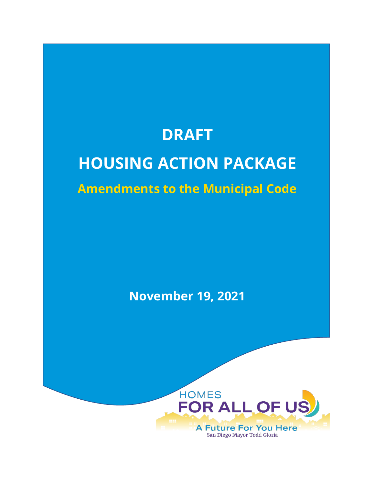# **DRAFT**

# **HOUSING ACTION PACKAGE**

# **Amendments to the Municipal Code**

**November 19, 2021**

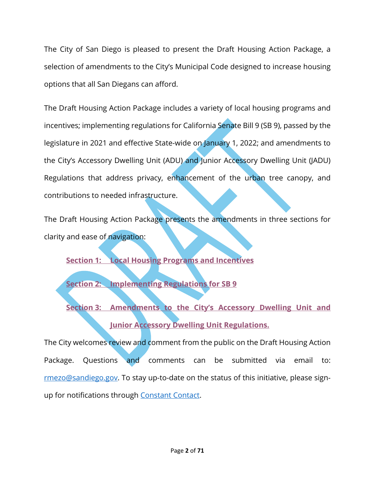The City of San Diego is pleased to present the Draft Housing Action Package, a selection of amendments to the City's Municipal Code designed to increase housing options that all San Diegans can afford.

The Draft Housing Action Package includes a variety of local housing programs and incentives; implementing regulations for California Senate Bill 9 (SB 9), passed by the legislature in 2021 and effective State-wide on January 1, 2022; and amendments to the City's Accessory Dwelling Unit (ADU) and Junior Accessory Dwelling Unit (JADU) Regulations that address privacy, enhancement of the urban tree canopy, and contributions to needed infrastructure.

The Draft Housing Action Package presents the amendments in three sections for clarity and ease of navigation:

**[Section 1: Local Housing Programs and Incentives](#page-1-0)**

**[Section 2: Implementing Regulations for SB 9](#page-36-0)**

**[Section 3: Amendments to the City's Accessory Dwelling Unit and](#page-52-0)  [Junior Accessory Dwelling Unit Regulations.](#page-52-0)**

<span id="page-1-0"></span>The City welcomes review and comment from the public on the Draft Housing Action Package. Questions and comments can be submitted via email to: [rmezo@sandiego.gov.](mailto:rmezo@sandiego.gov) To stay up-to-date on the status of this initiative, please signup for notifications through [Constant Contact.](https://visitor.r20.constantcontact.com/manage/optin?v=001L8yzO-DYgLyogX8cwfGReoCytPqndbbduQxrJk7sqduDznp93MyOgbbKDwSVN9VFYXcnyGqkynWNaHidIctd8lvFnpT1gKv0iA994juCAGM%3D)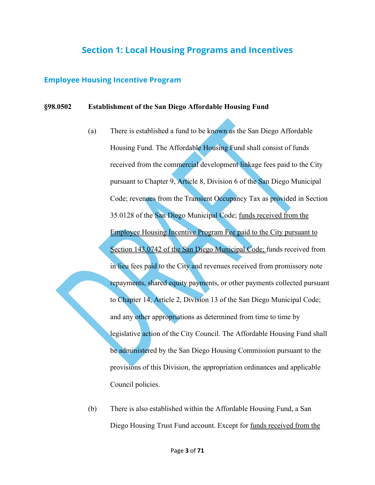# **Section 1: Local Housing Programs and Incentives**

## **Employee Housing Incentive Program**

### **§98.0502 Establishment of the San Diego Affordable Housing Fund**

- (a) There is established a fund to be known as the San Diego Affordable Housing Fund. The Affordable Housing Fund shall consist of funds received from the commercial development linkage fees paid to the City pursuant to Chapter 9, Article 8, Division 6 of the San Diego Municipal Code; revenues from the Transient Occupancy Tax as provided in Section 35.0128 of the San Diego Municipal Code; funds received from the **Employee Housing Incentive Program Fee paid to the City pursuant to** Section 143.0742 of the San Diego Municipal Code; funds received from in lieu fees paid to the City and revenues received from promissory note repayments, shared equity payments, or other payments collected pursuant to Chapter 14, Article 2, Division 13 of the San Diego Municipal Code; and any other appropriations as determined from time to time by legislative action of the City Council. The Affordable Housing Fund shall be administered by the San Diego Housing Commission pursuant to the provisions of this Division, the appropriation ordinances and applicable Council policies.
- (b) There is also established within the Affordable Housing Fund, a San Diego Housing Trust Fund account. Except for funds received from the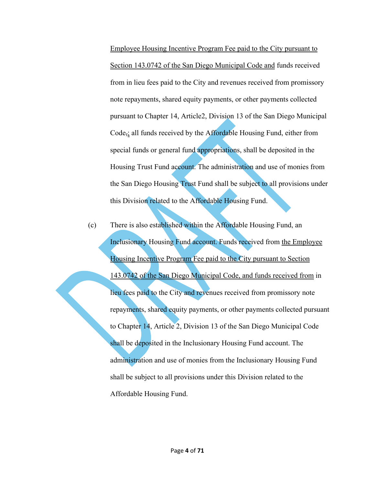Employee Housing Incentive Program Fee paid to the City pursuant to Section 143.0742 of the San Diego Municipal Code and funds received from in lieu fees paid to the City and revenues received from promissory note repayments, shared equity payments, or other payments collected pursuant to Chapter 14, Article2, Division 13 of the San Diego Municipal Code,; all funds received by the Affordable Housing Fund, either from special funds or general fund appropriations, shall be deposited in the Housing Trust Fund account. The administration and use of monies from the San Diego Housing Trust Fund shall be subject to all provisions under this Division related to the Affordable Housing Fund.

(c) There is also established within the Affordable Housing Fund, an Inclusionary Housing Fund account. Funds received from the Employee Housing Incentive Program Fee paid to the City pursuant to Section 143.0742 of the San Diego Municipal Code, and funds received from in lieu fees paid to the City and revenues received from promissory note repayments, shared equity payments, or other payments collected pursuant to Chapter 14, Article 2, Division 13 of the San Diego Municipal Code shall be deposited in the Inclusionary Housing Fund account. The administration and use of monies from the Inclusionary Housing Fund shall be subject to all provisions under this Division related to the Affordable Housing Fund.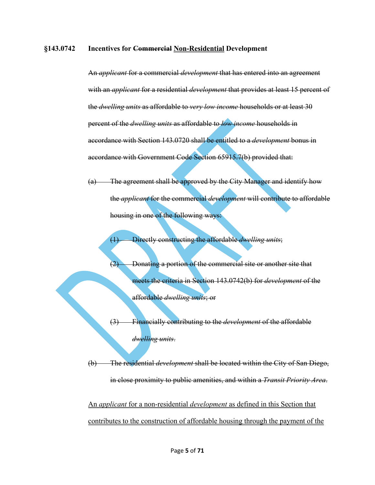### **§143.0742 Incentives for Commercial Non-Residential Development**

An *applicant* for a commercial *development* that has entered into an agreement with an *applicant* for a residential *development* that provides at least 15 percent of the *dwelling units* as affordable to *very low income* households or at least 30 percent of the *dwelling units* as affordable to *low income* households in accordance with Section 143.0720 shall be entitled to a *development* bonus in accordance with Government Code Section 65915.7(b) provided that:

(a) The agreement shall be approved by the City Manager and identify how the *applicant* for the commercial *development* will contribute to affordable housing in one of the following ways:

(1) Directly constructing the affordable *dwelling units*;

(2) Donating a portion of the commercial site or another site that meets the criteria in Section 143.0742(b) for *development* of the affordable *dwelling units*; or

(3) Financially contributing to the *development* of the affordable *dwelling units*.

(b) The residential *development* shall be located within the City of San Diego, in close proximity to public amenities, and within a *Transit Priority Area*.

An *applicant* for a non-residential *development* as defined in this Section that contributes to the construction of affordable housing through the payment of the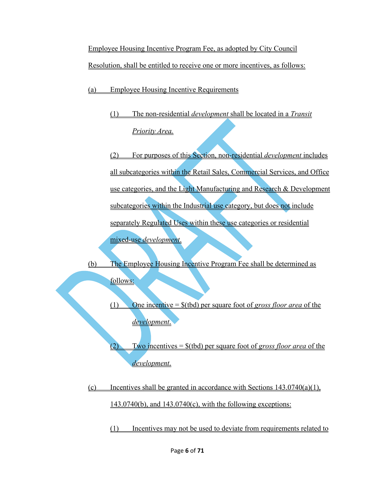Employee Housing Incentive Program Fee, as adopted by City Council Resolution, shall be entitled to receive one or more incentives, as follows:

(a) Employee Housing Incentive Requirements

(1) The non-residential *development* shall be located in a *Transit Priority Area.*

(2) For purposes of this Section, non-residential *development* includes all subcategories within the Retail Sales, Commercial Services, and Office use categories, and the Light Manufacturing and Research & Development subcategories within the Industrial use category, but does not include separately Regulated Uses within these use categories or residential mixed-use *development*.

(b) The Employee Housing Incentive Program Fee shall be determined as follows:

> (1) One incentive = \$(tbd) per square foot of *gross floor area* of the *development*.

(2) Two incentives = \$(tbd) per square foot of *gross floor area* of the *development*.

(c) Incentives shall be granted in accordance with Sections  $143.0740(a)(1)$ ,  $143.0740(b)$ , and  $143.0740(c)$ , with the following exceptions:

(1) Incentives may not be used to deviate from requirements related to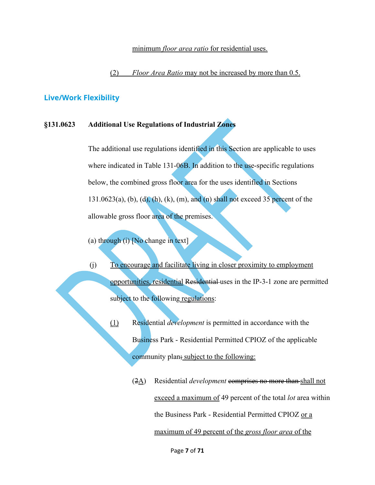### minimum *floor area ratio* for residential uses.

(2) *Floor Area Ratio* may not be increased by more than 0.5.

### **Live/Work Flexibility**

### **§131.0623 Additional Use Regulations of Industrial Zones**

The additional use regulations identified in this Section are applicable to uses where indicated in Table 131-06B. In addition to the use-specific regulations below, the combined gross floor area for the uses identified in Sections  $131.0623(a)$ , (b), (d), (h), (k), (m), and (n) shall not exceed 35 percent of the allowable gross floor area of the premises.

- (a) through (i) [No change in text]
- (j) To encourage and facilitate living in closer proximity to employment opportunities, residential Residential uses in the IP-3-1 zone are permitted subject to the following regulations:
	- (1) Residential *development* is permitted in accordance with the Business Park - Residential Permitted CPIOZ of the applicable community plan; subject to the following:
		- (2A) Residential *development* comprises no more than shall not exceed a maximum of 49 percent of the total *lot* area within the Business Park - Residential Permitted CPIOZ or a maximum of 49 percent of the *gross floor area* of the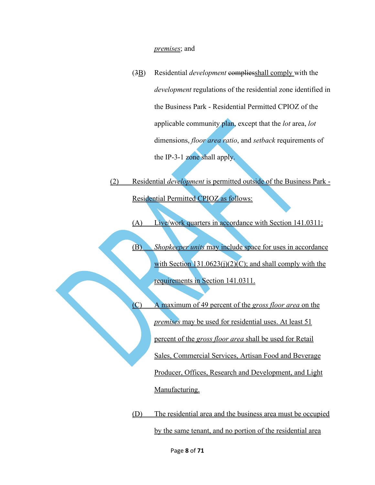#### *premises*; and

- (3B) Residential *development* compliesshall comply with the *development* regulations of the residential zone identified in the Business Park - Residential Permitted CPIOZ of the applicable community plan, except that the *lot* area, *lot* dimensions, *floor area ratio*, and *setback* requirements of the IP-3-1 zone shall apply.
- (2) Residential *development* is permitted outside of the Business Park Residential Permitted CPIOZ as follows:

(A) Live/work quarters in accordance with Section 141.0311;

- (B) *Shopkeeper units* may include space for uses in accordance with Section  $131.0623(i)(2)(C)$ ; and shall comply with the requirements in Section 141.0311.
- (C) A maximum of 49 percent of the *gross floor area* on the *premises* may be used for residential uses. At least 51 percent of the *gross floor area* shall be used for Retail Sales, Commercial Services, Artisan Food and Beverage Producer, Offices, Research and Development, and Light Manufacturing.

(D) The residential area and the business area must be occupied by the same tenant, and no portion of the residential area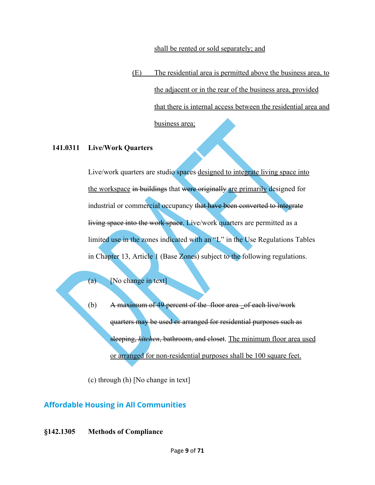### shall be rented or sold separately; and

(E) The residential area is permitted above the business area, to the adjacent or in the rear of the business area, provided that there is internal access between the residential area and business area;

### **141.0311 Live/Work Quarters**

Live/work quarters are studio spaces designed to integrate living space into the workspace in buildings that were originally are primarily designed for industrial or commercial occupancy that have been converted to integrate living space into the work space. Live/work quarters are permitted as a limited use in the zones indicated with an "L" in the Use Regulations Tables in Chapter 13, Article 1 (Base Zones) subject to the following regulations.

(a) [No change in text]

(b) A maximum of 49 percent of the floor area  $-$  of each live/work quarters may be used or arranged for residential purposes such as sleeping, *kitchen*, bathroom, and closet. The minimum floor area used or arranged for non-residential purposes shall be 100 square feet.

(c) through (h) [No change in text]

# **Affordable Housing in All Communities**

**§142.1305 Methods of Compliance**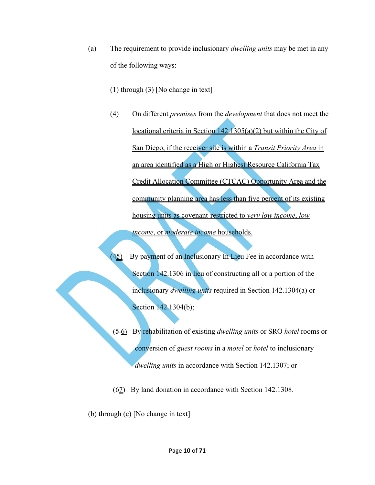- (a) The requirement to provide inclusionary *dwelling units* may be met in any of the following ways:
	- (1) through (3) [No change in text]
	- (4) On different *premises* from the *development* that does not meet the locational criteria in Section 142.1305(a)(2) but within the City of San Diego, if the receiver site is within a *Transit Priority Area* in an area identified as a High or Highest Resource California Tax Credit Allocation Committee (CTCAC) Opportunity Area and the community planning area has less than five percent of its existing housing units as covenant-restricted to *very low income*, *low income*, or *moderate income* households.
	- (45) By payment of an Inclusionary In Lieu Fee in accordance with Section 142.1306 in lieu of constructing all or a portion of the inclusionary *dwelling units* required in Section 142.1304(a) or Section 142.1304(b);
	- (5 6) By rehabilitation of existing *dwelling units* or SRO *hotel* rooms or conversion of *guest rooms* in a *motel* or *hotel* to inclusionary *dwelling units* in accordance with Section 142.1307; or
	- (67) By land donation in accordance with Section 142.1308.
- (b) through (c) [No change in text]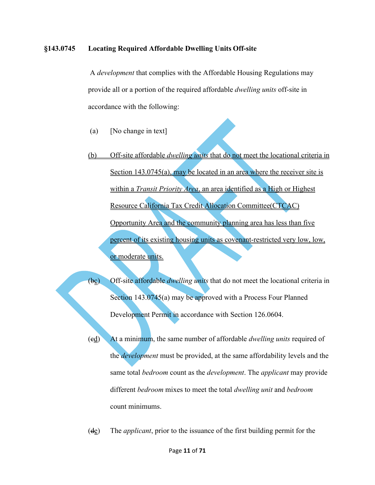### **§143.0745 Locating Required Affordable Dwelling Units Off-site**

A *development* that complies with the Affordable Housing Regulations may provide all or a portion of the required affordable *dwelling units* off-site in accordance with the following:

- (a) [No change in text]
- (b) Off-site affordable *dwelling units* that do not meet the locational criteria in Section 143.0745(a), may be located in an area where the receiver site is within a *Transit Priority Area*, an area identified as a High or Highest Resource California Tax Credit Allocation Committee(CTCAC) Opportunity Area and the community planning area has less than five percent of its existing housing units as covenant-restricted very low, low, or moderate units.
- (bc) Off-site affordable *dwelling units* that do not meet the locational criteria in Section 143.0745(a) may be approved with a Process Four Planned Development Permit in accordance with Section 126.0604.
	- (cd) At a minimum, the same number of affordable *dwelling units* required of the *development* must be provided, at the same affordability levels and the same total *bedroom* count as the *development*. The *applicant* may provide different *bedroom* mixes to meet the total *dwelling unit* and *bedroom* count minimums.
	- (de) The *applicant*, prior to the issuance of the first building permit for the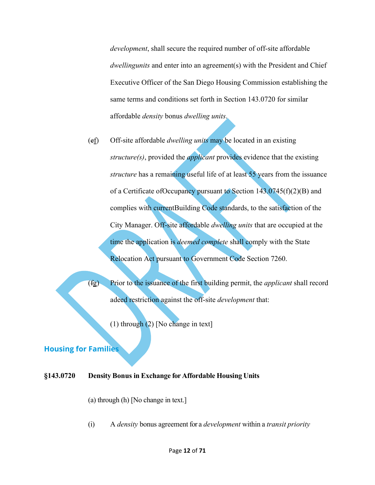*development*, shall secure the required number of off-site affordable *dwellingunits* and enter into an agreement(s) with the President and Chief Executive Officer of the San Diego Housing Commission establishing the same terms and conditions set forth in Section 143.0720 for similar affordable *density* bonus *dwelling units*.

(ef) Off-site affordable *dwelling units* may be located in an existing *structure(s)*, provided the *applicant* provides evidence that the existing *structure* has a remaining useful life of at least 55 years from the issuance of a Certificate ofOccupancy pursuant to Section 143.0745(f)(2)(B) and complies with currentBuilding Code standards, to the satisfaction of the City Manager. Off-site affordable *dwelling units* that are occupied at the time the application is *deemed complete* shall comply with the State Relocation Act pursuant to Government Code Section 7260.

(fg) Prior to the issuance of the first building permit, the *applicant* shall record adeed restriction against the off-site *development* that:

(1) through (2) [No change in text]

# **Housing for Families**

# **§143.0720 Density Bonus in Exchange for Affordable Housing Units**

(a) through (h) [No change in text.]

(i) A *density* bonus agreement for a *development* within a *transit priority*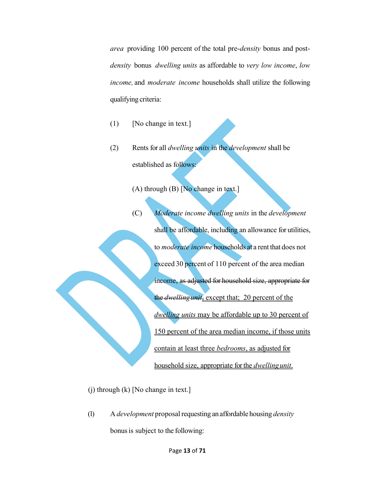*area* providing 100 percent of the total pre-*density* bonus and post*density* bonus *dwelling units* as affordable to *very low income*, *low income,* and *moderate income* households shall utilize the following qualifying criteria:

- (1) [No change in text.]
- (2) Rents for all *dwelling units* in the *development* shall be established as follows:

(A) through  $(B)$  [No change in text.]

(C) *Moderate income dwelling units* in the *development*  shall be affordable, including an allowance for utilities, to *moderate income* households at a rent that does not exceed 30 percent of 110 percent of the area median income, as adjusted for household size, appropriate for the *dwellingunit*, except that; 20 percent of the *dwelling units* may be affordable up to 30 percent of 150 percent of the area median income, if those units contain at least three *bedrooms*, as adjusted for household size, appropriate for the *dwellingunit*.

(j) through (k) [No change in text.]

(l) A *development* proposalrequesting an affordable housing *density* bonusis subject to the following: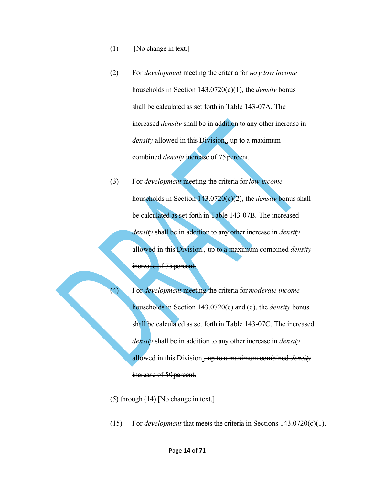- (1) [No change in text.]
- (2) For *development* meeting the criteria for *very low income*  households in Section 143.0720(c)(1), the *density* bonus shall be calculated as set forth in Table 143-07A. The increased *density* shall be in addition to any other increase in *density* allowed in this Division<sub><sub>is</sub> up to a maximum</sub> combined *density* increase of 75percent.
- (3) For *development* meeting the criteria for *low income*  households in Section 143.0720(c)(2), the *density* bonus shall be calculated as set forth in Table 143-07B. The increased *density* shall be in addition to any other increase in *density*  allowed in this Division., up to a maximum combined *density*  increase of 75 percent.

(4) For *development* meeting the criteria for *moderate income*  households in Section 143.0720(c) and (d), the *density* bonus shall be calculated as set forth in Table 143-07C. The increased *density* shall be in addition to any other increase in *density*  allowed in this Division., up to a maximum combined *density*  increase of 50 percent.

- (5) through (14) [No change in text.]
- (15) For *development* that meets the criteria in Sections 143.0720(c)(1),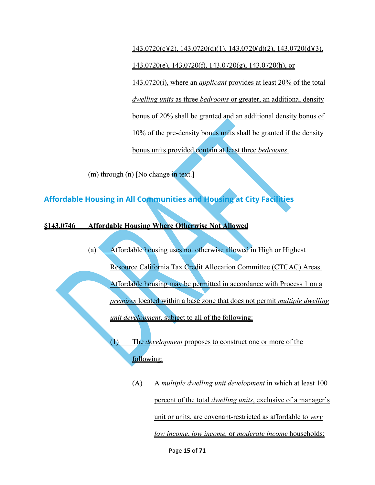143.0720(c)(2), 143.0720(d)(1), 143.0720(d)(2), 143.0720(d)(3),  $143.0720(e)$ ,  $143.0720(f)$ ,  $143.0720(g)$ ,  $143.0720(h)$ , or 143.0720(i), where an *applicant* provides at least 20% of the total *dwelling units* as three *bedrooms* or greater, an additional density bonus of 20% shall be granted and an additional density bonus of 10% of the pre-density bonus units shall be granted if the density bonus units provided contain at least three *bedrooms*.

(m) through (n) [No change in text.]

**Affordable Housing in All Communities and Housing at City Facilities**

**§143.0746 Affordable Housing Where Otherwise Not Allowed**

(a) Affordable housing uses not otherwise allowed in High or Highest Resource California Tax Credit Allocation Committee (CTCAC) Areas. Affordable housing may be permitted in accordance with Process 1 on a *premises* located within a base zone that does not permit *multiple dwelling unit development*, subject to all of the following:

(1) The *development* proposes to construct one or more of the following:

> (A) A *multiple dwelling unit development* in which at least 100 percent of the total *dwelling units*, exclusive of a manager's unit or units, are covenant-restricted as affordable to *very low income*, *low income,* or *moderate income* households;

> > Page **15** of **71**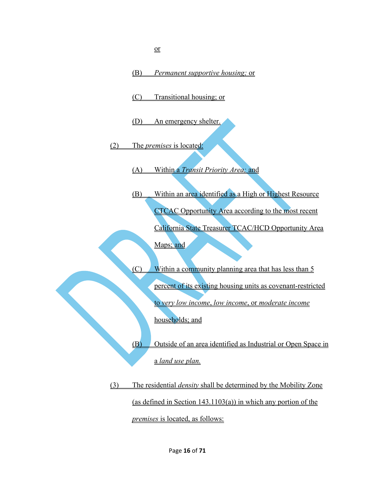(B) *Permanent supportive housing;* or (C) Transitional housing; or (D) An emergency shelter. (2) The *premises* is located: (A) Within a *Transit Priority Area;* and (B) Within an area identified as a High or Highest Resource CTCAC Opportunity Area according to the most recent California State Treasurer TCAC/HCD Opportunity Area Maps; and (C) Within a community planning area that has less than 5 percent of its existing housing units as covenant-restricted to *very low income*, *low income*, or *moderate income* households; and (B) Outside of an area identified as Industrial or Open Space in

a *land use plan.*

(3) The residential *density* shall be determined by the Mobility Zone (as defined in Section  $143.1103(a)$ ) in which any portion of the *premises* is located, as follows: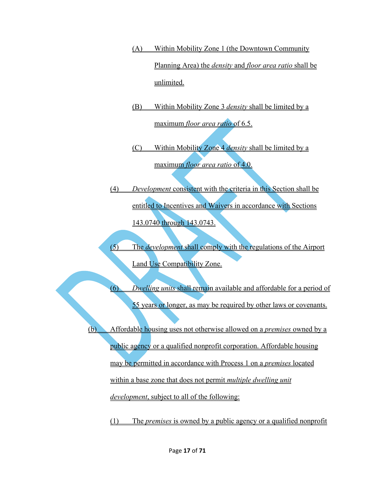- (A) Within Mobility Zone 1 (the Downtown Community Planning Area) the *density* and *floor area ratio* shall be unlimited.
- (B) Within Mobility Zone 3 *density* shall be limited by a maximum *floor area ratio* of 6.5.
- (C) Within Mobility Zone 4 *density* shall be limited by a maximum *floor area ratio* of 4.0.
- (4) *Development* consistent with the criteria in this Section shall be entitled to Incentives and Waivers in accordance with Sections 143.0740 through 143.0743.
- (5) The *development* shall comply with the regulations of the Airport Land Use Compatibility Zone.

(6) *Dwelling units* shall remain available and affordable for a period of 55 years or longer, as may be required by other laws or covenants.

(b) Affordable housing uses not otherwise allowed on a *premises* owned by a public agency or a qualified nonprofit corporation. Affordable housing may be permitted in accordance with Process 1 on a *premises* located within a base zone that does not permit *multiple dwelling unit development*, subject to all of the following:

(1) The *premises* is owned by a public agency or a qualified nonprofit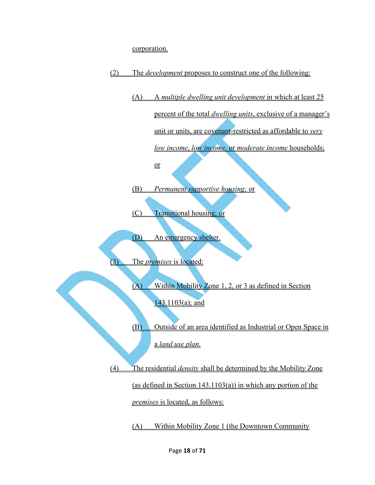corporation.



(A) A *multiple dwelling unit development* in which at least 25 percent of the total *dwelling units*, exclusive of a manager's unit or units, are covenant-restricted as affordable to *very low income*, *low income,* or *moderate income* households;

or

(B) *Permanent supportive housing;* or

(C) Transitional housing; or

(D) An emergency shelter.

The *premises* is located:

(A) Within Mobility Zone 1, 2, or 3 as defined in Section 143.1103(a); and

(B) Outside of an area identified as Industrial or Open Space in a *land use plan.*

(4) The residential *density* shall be determined by the Mobility Zone (as defined in Section 143.1103(a)) in which any portion of the

*premises* is located, as follows:

(A) Within Mobility Zone 1 (the Downtown Community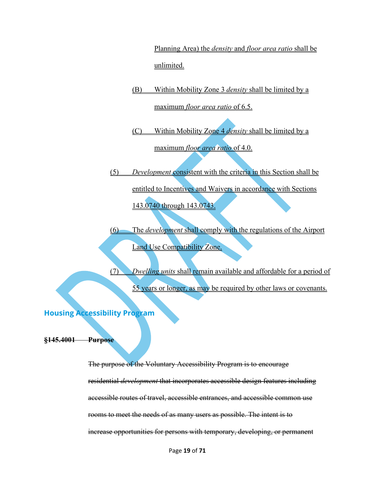Planning Area) the *density* and *floor area ratio* shall be unlimited.

- (B) Within Mobility Zone 3 *density* shall be limited by a maximum *floor area ratio* of 6.5.
- (C) Within Mobility Zone 4 *density* shall be limited by a maximum *floor area ratio* of 4.0.

(5) *Development* consistent with the criteria in this Section shall be entitled to Incentives and Waivers in accordance with Sections 143.0740 through 143.0743.

(6) The *development* shall comply with the regulations of the Airport Land Use Compatibility Zone.

(7) *Dwelling units* shall remain available and affordable for a period of 55 years or longer, as may be required by other laws or covenants.

**Housing Accessibility Program**

**§145.4001 Purpose**

The purpose of the Voluntary Accessibility Program is to encourage residential *development* that incorporates accessible design features including accessible routes of travel, accessible entrances, and accessible common use rooms to meet the needs of as many users as possible. The intent is to increase opportunities for persons with temporary, developing, or permanent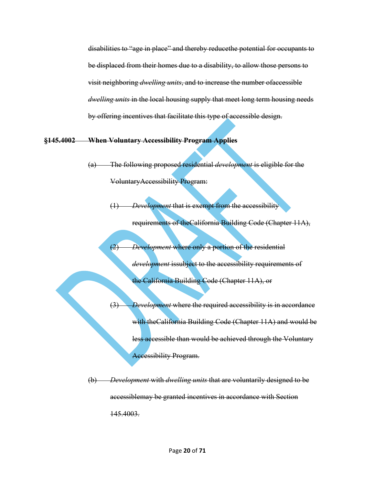disabilities to "age in place" and thereby reducethe potential for occupants to be displaced from their homes due to a disability, to allow those persons to visit neighboring *dwelling units*, and to increase the number ofaccessible *dwelling units* in the local housing supply that meet long term housing needs by offering incentives that facilitate this type of accessible design.

### **§145.4002 When Voluntary Accessibility Program Applies**

(a) The following proposed residential *development* is eligible for the VoluntaryAccessibility Program:

(1) *Development* that is exempt from the accessibility

requirements of theCalifornia Building Code (Chapter 11A),

(2) *Development* where only a portion of the residential

*development* issubject to the accessibility requirements of the California Building Code (Chapter 11A), or

(3) *Development* where the required accessibility is in accordance with theCalifornia Building Code (Chapter 11A) and would be less accessible than would be achieved through the Voluntary Accessibility Program.

(b) *Development* with *dwelling units* that are voluntarily designed to be accessiblemay be granted incentives in accordance with Section 145.4003.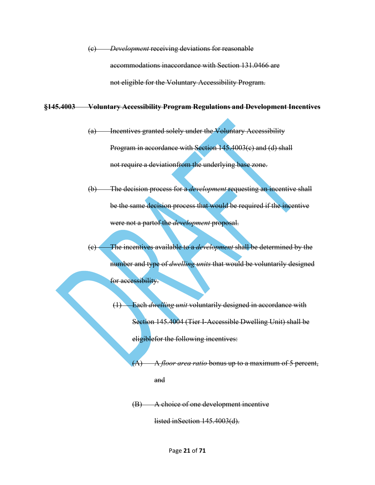(c) *Development* receiving deviations for reasonable accommodations inaccordance with Section 131.0466 are not eligible for the Voluntary Accessibility Program.

### **§145.4003 Voluntary Accessibility Program Regulations and Development Incentives**

- (a) Incentives granted solely under the Voluntary Accessibility Program in accordance with Section 145.4003(e) and (d) shall not require a deviationfrom the underlying base zone.
- (b) The decision process for a *development* requesting an incentive shall be the same decision process that would be required if the incentive were not a partof the *development* proposal.
- (c) The incentives available to a *development* shall be determined by the number and type of *dwelling units* that would be voluntarily designed for accessibility.
	- (1) Each *dwelling unit* voluntarily designed in accordance with Section 145.4004 (Tier I-Accessible Dwelling Unit) shall be eligiblefor the following incentives:
		- (A) A *floor area ratio* bonus up to a maximum of 5 percent, and
		- (B) A choice of one development incentive

listed inSection 145.4003(d).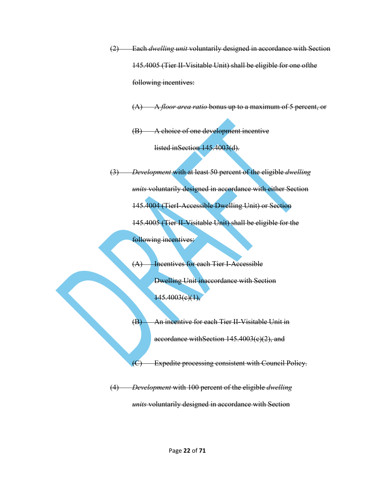(2) Each *dwelling unit* voluntarily designed in accordance with Section 145.4005 (Tier II-Visitable Unit) shall be eligible for one ofthe following incentives:

(A) A *floor area ratio* bonus up to a maximum of 5 percent, or

(B) A choice of one development incentive

listed inSection 145.4003(d).

(3) *Development* with at least 50 percent of the eligible *dwelling units* voluntarily designed in accordance with either Section 145.4004 (TierI-Accessible Dwelling Unit) or Section 145.4005 (Tier II-Visitable Unit) shall be eligible for the following incentives:

> (A) Incentives for each Tier I-Accessible Dwelling Unit inaccordance with Section  $145.4003(e)(1),$

(B) An incentive for each Tier II-Visitable Unit in

accordance withSection 145.4003(c)(2), and

(C) Expedite processing consistent with Council Policy.

(4) *Development* with 100 percent of the eligible *dwelling units* voluntarily designed in accordance with Section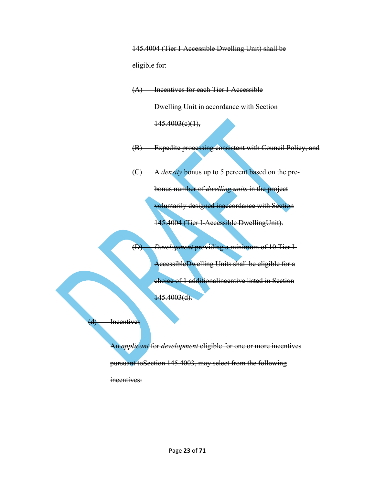145.4004 (Tier I-Accessible Dwelling Unit) shall be eligible for:

(A) Incentives for each Tier I-Accessible

Dwelling Unit in accordance with Section

 $145.4003(e)(1),$ 

(B) Expedite processing consistent with Council Policy, and

(C) A *density* bonus up to 5 percent based on the pre-

bonus number of *dwelling units* in the project voluntarily designed inaccordance with Section 145.4004 (Tier I-Accessible DwellingUnit).

(D) *Development* providing a minimum of 10 Tier I-AccessibleDwelling Units shall be eligible for a choice of 1 additionalincentive listed in Section

 $145.4003(d)$ .

# (d) Incentives

An *applicant* for *development* eligible for one or more incentives pursuant toSection 145.4003, may select from the following incentives: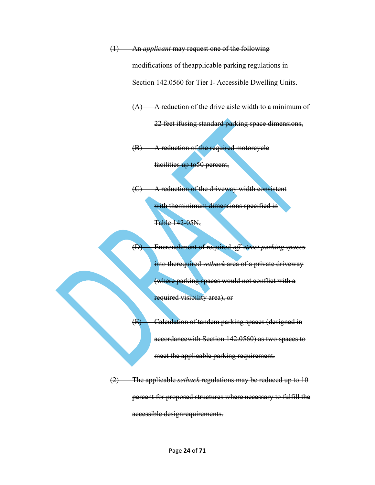(1) An *applicant* may request one of the following modifications of theapplicable parking regulations in Section 142.0560 for Tier I- Accessible Dwelling Units.

 $(A)$  A reduction of the drive aisle width to a minimum of

22 feet ifusing standard parking space dimensions,

(B) A reduction of the required motorcycle

facilities up to 50 percent,

(C) A reduction of the driveway width consistent with theminimum dimensions specified in

Table 142-05N,

(D) Encroachment of required *off-street parking spaces*  into therequired *setback* area of a private driveway (where parking spaces would not conflict with a required visibility area), or

(E) Calculation of tandem parking spaces (designed in accordancewith Section 142.0560) as two spaces to meet the applicable parking requirement.

(2) The applicable *setback* regulations may be reduced up to 10 percent for proposed structures where necessary to fulfill the accessible designrequirements.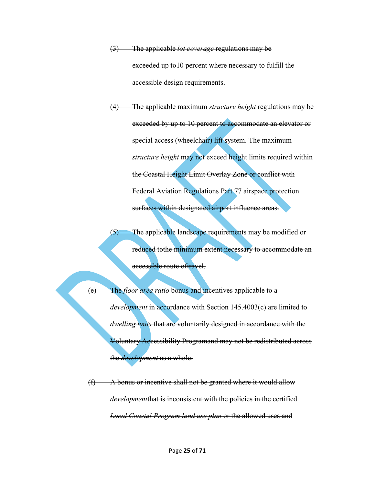- (3) The applicable *lot coverage* regulations may be exceeded up to10 percent where necessary to fulfill the accessible design requirements.
- (4) The applicable maximum *structure height* regulations may be exceeded by up to 10 percent to accommodate an elevator or special access (wheelchair) lift system. The maximum *structure height* may not exceed height limits required within the Coastal Height Limit Overlay Zone or conflict with Federal Aviation Regulations Part 77 airspace protection surfaces within designated airport influence areas.

(5) The applicable landscape requirements may be modified or reduced tothe minimum extent necessary to accommodate an accessible route oftravel.

The *floor area ratio* bonus and incentives applicable to a *development* in accordance with Section 145.4003(c) are limited to *dwelling units* that are voluntarily designed in accordance with the Voluntary Accessibility Programand may not be redistributed across the *development* as a whole.

 $(f)$  A bonus or incentive shall not be granted where it would allow *development*that is inconsistent with the policies in the certified *Local Coastal Program land use plan or the allowed uses and*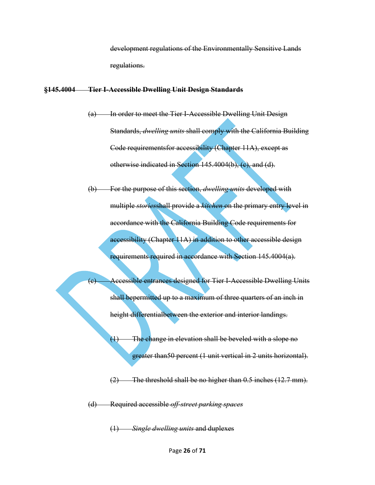development regulations of the Environmentally Sensitive Lands regulations.

### **§145.4004 Tier I-Accessible Dwelling Unit Design Standards**

- (a) In order to meet the Tier I-Accessible Dwelling Unit Design Standards, *dwelling units* shall comply with the California Building Code requirementsfor accessibility (Chapter 11A), except as otherwise indicated in Section 145.4004(b), (c), and (d).
- (b) For the purpose of this section, *dwelling units* developed with multiple *stories*shall provide a *kitchen* on the primary entry level in accordance with the California Building Code requirements for accessibility (Chapter 11A) in addition to other accessible design requirements required in accordance with Section 145.4004(a).
- (c) Accessible entrances designed for Tier I-Accessible Dwelling Units shall bepermitted up to a maximum of three quarters of an inch in height differentialbetween the exterior and interior landings.
	- $(1)$  The change in elevation shall be beveled with a slope no greater than50 percent (1 unit vertical in 2 units horizontal).

 $(2)$  The threshold shall be no higher than 0.5 inches  $(12.7 \text{ mm})$ .

(d) Required accessible *off-street parking spaces*

(1) *Single dwelling units* and duplexes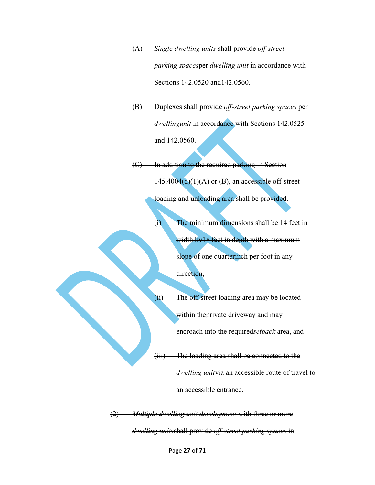(A) *Single dwelling units* shall provide *off-street parking spaces*per *dwelling unit* in accordance with Sections 142.0520 and142.0560.

(B) Duplexes shall provide *off-street parking spaces* per *dwellingunit* in accordance with Sections 142.0525 and 142.0560.

(C) In addition to the required parking in Section  $145.4004(d)(1)(A)$  or (B), an accessible off-street loading and unloading area shall be provided.

> (i) The minimum dimensions shall be 14 feet in width by 18 feet in depth with a maximum slope of one quarterinch per foot in any direction,

(ii) The off-street loading area may be located within theprivate driveway and may encroach into the required*setback* area, and

(iii) The loading area shall be connected to the *dwelling unit*via an accessible route of travel to an accessible entrance.

(2) *Multiple dwelling unit development* with three or more *dwelling units*shall provide *off-street parking spaces* in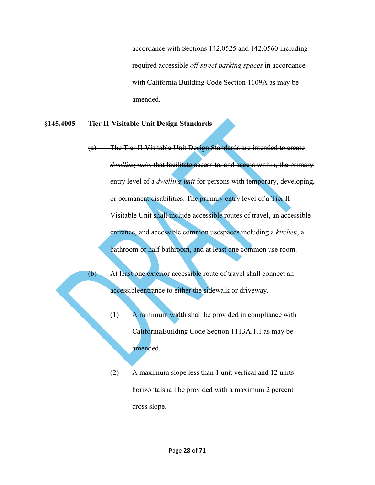accordance with Sections 142.0525 and 142.0560 including required accessible *off-street parking spaces* in accordance with California Building Code Section 1109A as may be amended.

### **§145.4005 Tier II-Visitable Unit Design Standards**

- (a) The Tier II-Visitable Unit Design Standards are intended to create *dwelling units* that facilitate access to, and access within, the primary entry level of a *dwelling unit* for persons with temporary, developing, or permanent disabilities. The primary entry level of a Tier II-Visitable Unit shall include accessible routes of travel, an accessible entrance, and accessible common usespaces including a *kitchen*, a bathroom or half bathroom, and at least one common use room.
- (b) At least one exterior accessible route of travel shall connect an accessibleentrance to either the sidewalk or driveway.
	- $(1)$  A minimum width shall be provided in compliance with CaliforniaBuilding Code Section 1113A.1.1 as may be amended.
	- (2) A maximum slope less than 1 unit vertical and 12 units horizontalshall be provided with a maximum 2 percent cross slope.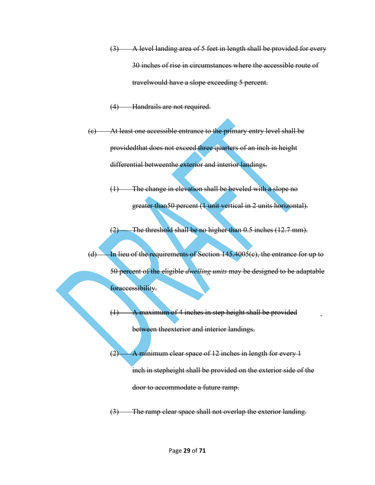- $(3)$  A level landing area of 5 feet in length shall be provided for every 30 inches of rise in circumstances where the accessible route of travelwould have a slope exceeding 5 percent.
- (4) Handrails are not required.
- (c) At least one accessible entrance to the primary entry level shall be providedthat does not exceed three quarters of an inch in height differential betweenthe exterior and interior landings.
	- (1) The change in elevation shall be beveled with a slope no greater than50 percent (1 unit vertical in 2 units horizontal).
	- (2) The threshold shall be no higher than 0.5 inches (12.7 mm).
- $(d)$  In lieu of the requirements of Section 145.4005(e), the entrance for up to 50 percent of the eligible *dwelling units* may be designed to be adaptable foraccessibility.
	- (1) A maximum of 4 inches in step height shall be provided between theexterior and interior landings.
	- (2) A minimum clear space of 12 inches in length for every 1 inch in stepheight shall be provided on the exterior side of the door to accommodate a future ramp.
	- (3) The ramp clear space shall not overlap the exterior landing.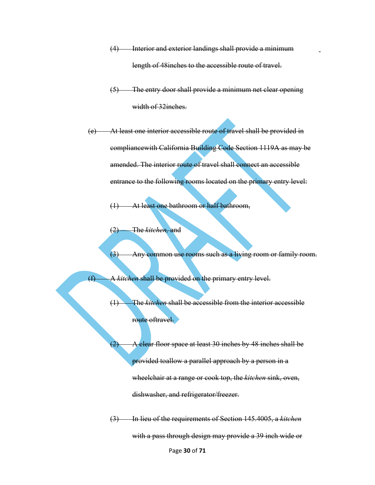- (4) Interior and exterior landings shall provide a minimum length of 48 inches to the accessible route of travel.
- (5) The entry door shall provide a minimum net clear opening width of 32inches.
- (e) At least one interior accessible route of travel shall be provided in compliancewith California Building Code Section 1119A as may be amended. The interior route of travel shall connect an accessible entrance to the following rooms located on the primary entry level:

(1) At least one bathroom or half bathroom,

(2) The *kitchen,* and

(3) Any common use rooms such as a living room or family room.

(f) A *kitchen* shall be provided on the primary entry level.

(1) The *kitchen* shall be accessible from the interior accessible route oftravel.

 $(2)$  A clear floor space at least 30 inches by 48 inches shall be provided toallow a parallel approach by a person in a wheelchair at a range or cook top, the *kitchen* sink, oven, dishwasher, and refrigerator/freezer.

(3) In lieu of the requirements of Section 145.4005, a *kitchen*  with a pass through design may provide a 39 inch wide or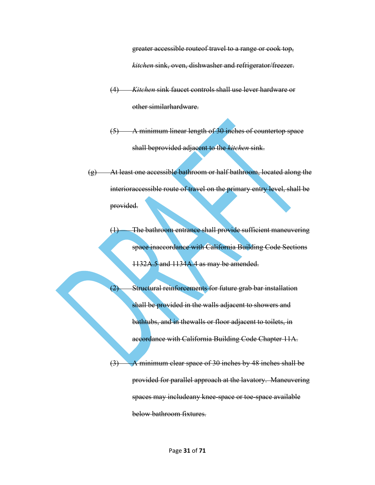greater accessible routeof travel to a range or cook top, *kitchen* sink, oven, dishwasher and refrigerator/freezer.

- (4) *Kitchen* sink faucet controls shall use lever hardware or other similarhardware.
- (5) A minimum linear length of 30 inches of countertop space shall beprovided adjacent to the *kitchen* sink.
- (g) At least one accessible bathroom or half bathroom, located along the interioraccessible route of travel on the primary entry level, shall be provided.
	- (1) The bathroom entrance shall provide sufficient maneuvering space inaccordance with California Building Code Sections 1132A.5 and 1134A.4 as may be amended.
		- Structural reinforcements for future grab bar installation shall be provided in the walls adjacent to showers and bathtubs, and in thewalls or floor adjacent to toilets, in accordance with California Building Code Chapter 11A.

(3) A minimum clear space of 30 inches by 48 inches shall be provided for parallel approach at the lavatory. Maneuvering spaces may includeany knee-space or toe-space available below bathroom fixtures.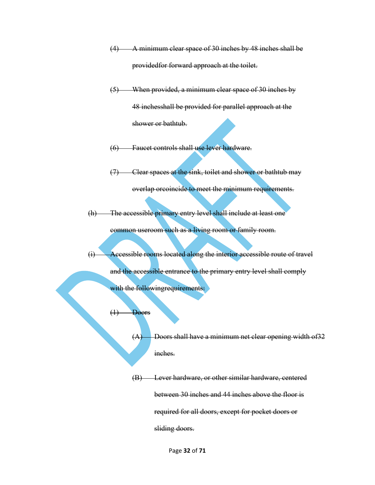- (4) A minimum clear space of 30 inches by 48 inches shall be providedfor forward approach at the toilet.
- (5) When provided, a minimum clear space of 30 inches by 48 inchesshall be provided for parallel approach at the shower or bathtub.
- (6) Faucet controls shall use lever hardware.
- (7) Clear spaces at the sink, toilet and shower or bathtub may overlap orcoincide to meet the minimum requirements.
- (h) The accessible primary entry level shall include at least one

common useroom such as a living room or family room.

- (i) Accessible rooms located along the interior accessible route of travel and the accessible entrance to the primary entry level shall comply with the followingrequirements:
	- (1) Doors
		- $(A)$  Doors shall have a minimum net clear opening width of 32 inches.

(B) Lever hardware, or other similar hardware, centered between 30 inches and 44 inches above the floor is required for all doors, except for pocket doors or sliding doors.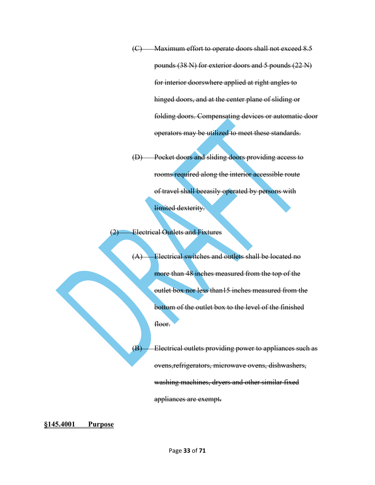(C) Maximum effort to operate doors shall not exceed 8.5 pounds (38 N) for exterior doors and 5 pounds (22 N) for interior doorswhere applied at right angles to hinged doors, and at the center plane of sliding or folding doors. Compensating devices or automatic door operators may be utilized to meet these standards.

(D) Pocket doors and sliding doors providing access to rooms required along the interior accessible route of travel shall beeasily operated by persons with limited dexterity.

### (2) Electrical Outlets and Fixtures

(A) Electrical switches and outlets shall be located no more than 48 inches measured from the top of the outlet box nor less than15 inches measured from the bottom of the outlet box to the level of the finished floor.

 $(B)$  Electrical outlets providing power to appliances such as ovens,refrigerators, microwave ovens, dishwashers, washing machines, dryers and other similar fixed appliances are exempt.

**[§145.4001](https://docs.sandiego.gov/municode/MuniCodeChapter14/Ch14Art05Division40.pdf) Purpose**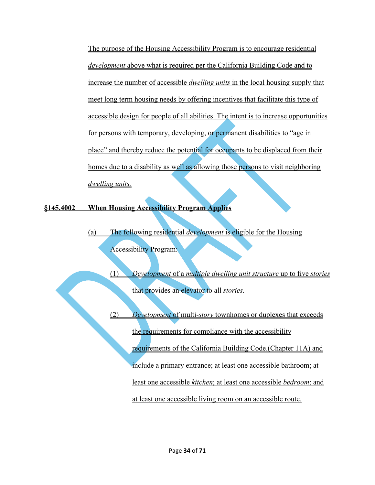The purpose of the Housing Accessibility Program is to encourage residential *development* above what is required per the California Building Code and to increase the number of accessible *dwelling units* in the local housing supply that meet long term housing needs by offering incentives that facilitate this type of accessible design for people of all abilities. The intent is to increase opportunities for persons with temporary, developing, or permanent disabilities to "age in place" and thereby reduce the potential for occupants to be displaced from their homes due to a disability as well as allowing those persons to visit neighboring *dwelling units.*

**§145.4002 When Housing Accessibility Program Applies**

(a) The following residential *development* is eligible for the Housing Accessibility Program:

> (1) *Development* of a *multiple dwelling unit structure* up to five *stories* that provides an elevator to all *stories.*

(2) *Development* of multi-*story* townhomes or duplexes that exceeds the requirements for compliance with the accessibility requirements of the California Building Code.(Chapter 11A) and include a primary entrance; at least one accessible bathroom; at least one accessible *kitchen*; at least one accessible *bedroom*; and at least one accessible living room on an accessible route.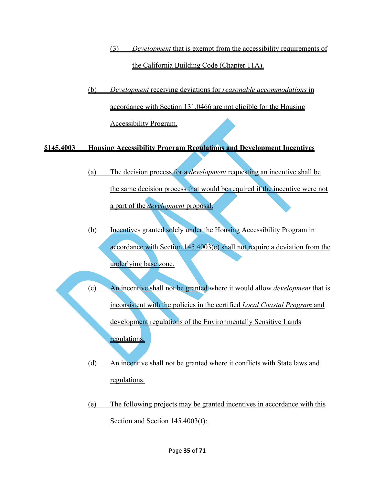- (3) *Development* that is exempt from the accessibility requirements of the California Building Code (Chapter 11A).
- (b) *Development* receiving deviations for *reasonable accommodations* in accordance with Section 131.0466 are not eligible for the Housing Accessibility Program.

**§145.4003 Housing Accessibility Program Regulations and Development Incentives**

- (a) The decision process for a *development* requesting an incentive shall be the same decision process that would be required if the incentive were not a part of the *development* proposal.
- (b) Incentives granted solely under the Housing Accessibility Program in accordance with Section 145.4003(e) shall not require a deviation from the underlying base zone.
- (c) An incentive shall not be granted where it would allow *development* that is inconsistent with the policies in the certified *Local Coastal Program* and development regulations of the Environmentally Sensitive Lands regulations.
- (d) An incentive shall not be granted where it conflicts with State laws and regulations.
- (e) The following projects may be granted incentives in accordance with this Section and Section 145.4003(f):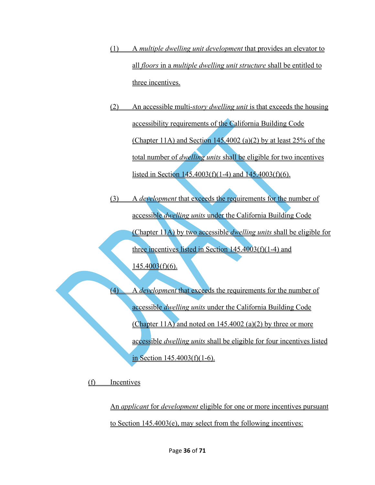- (1) A *multiple dwelling unit development* that provides an elevator to all *floors* in a *multiple dwelling unit structure* shall be entitled to three incentives.
- (2) An accessible multi-*story dwelling unit* is that exceeds the housing accessibility requirements of the California Building Code (Chapter 11A) and Section 145.4002 (a)(2) by at least 25% of the total number of *dwelling units* shall be eligible for two incentives listed in Section  $145.4003(f)(1-4)$  and  $145.4003(f)(6)$ .
- (3) A *development* that exceeds the requirements for the number of accessible *dwelling units* under the California Building Code (Chapter 11A) by two accessible *dwelling units* shall be eligible for three incentives listed in Section  $145.4003(f)(1-4)$  and  $145.4003(f)(6)$ .

(4) A *development* that exceeds the requirements for the number of accessible *dwelling units* under the California Building Code (Chapter 11A) and noted on  $145.4002$  (a)(2) by three or more accessible *dwelling units* shall be eligible for four incentives listed in Section  $145.4003(f)(1-6)$ .

(f) Incentives

An *applicant* for *development* eligible for one or more incentives pursuant to Section 145.4003(e), may select from the following incentives: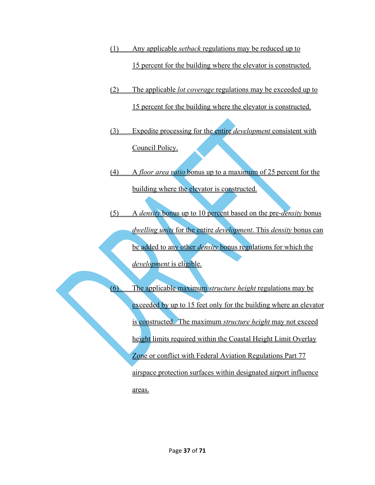- (1) Any applicable *setback* regulations may be reduced up to 15 percent for the building where the elevator is constructed.
- (2) The applicable *lot coverage* regulations may be exceeded up to 15 percent for the building where the elevator is constructed.
- (3) Expedite processing for the entire *development* consistent with Council Policy.
- (4) A *floor area ratio* bonus up to a maximum of 25 percent for the building where the elevator is constructed.
- (5) A *density* bonus up to 10 percent based on the pre-*density* bonus *dwelling units* for the entire *development*. This *density* bonus can be added to any other *density* bonus regulations for which the *development* is eligible.

<span id="page-36-0"></span>(6) The applicable maximum *structure height* regulations may be exceeded by up to 15 feet only for the building where an elevator is constructed. The maximum *structure height* may not exceed height limits required within the Coastal Height Limit Overlay Zone or conflict with Federal Aviation Regulations Part 77 airspace protection surfaces within designated airport influence areas.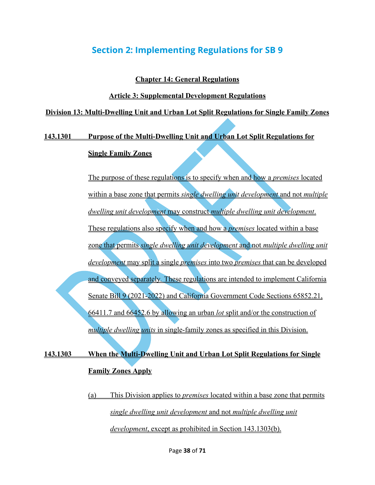# **Section 2: Implementing Regulations for SB 9**

### **Chapter 14: General Regulations**

### **Article 3: Supplemental Development Regulations**

### **Division 13: Multi-Dwelling Unit and Urban Lot Split Regulations for Single Family Zones**

### **143.1301 Purpose of the Multi-Dwelling Unit and Urban Lot Split Regulations for**

### **Single Family Zones**

The purpose of these regulations is to specify when and how a *premises* located within a base zone that permits *single dwelling unit development* and not *multiple dwelling unit development* may construct *multiple dwelling unit development*. These regulations also specify when and how a *premises* located within a base zone that permits *single dwelling unit development* and not *multiple dwelling unit development* may split a single *premises* into two *premises* that can be developed and conveyed separately*.* These regulations are intended to implement California Senate Bill 9 (2021-2022) and California Government Code Sections 65852.21, 66411.7 and 66452.6 by allowing an urban *lot* split and/or the construction of *multiple dwelling units* in single-family zones as specified in this Division.

# **143.1303 When the Multi-Dwelling Unit and Urban Lot Split Regulations for Single Family Zones Apply**

(a) This Division applies to *premises* located within a base zone that permits *single dwelling unit development* and not *multiple dwelling unit development*, except as prohibited in Section 143.1303(b).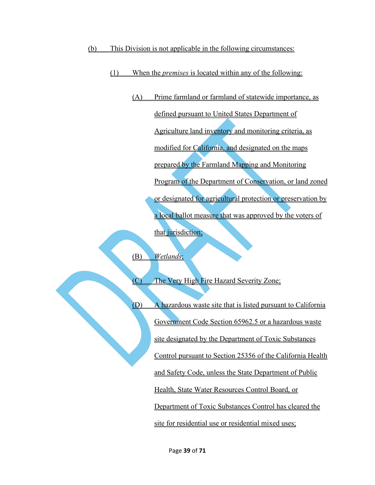- (b) This Division is not applicable in the following circumstances:
	- (1) When the *premises* is located within any of the following:
		- (A) Prime farmland or farmland of statewide importance, as defined pursuant to United States Department of Agriculture land inventory and monitoring criteria, as modified for California, and designated on the maps prepared by the Farmland Mapping and Monitoring Program of the Department of Conservation, or land zoned or designated for agricultural protection or preservation by a local ballot measure that was approved by the voters of that jurisdiction;

(B) *Wetlands*;

(C) The Very High Fire Hazard Severity Zone;

(D) A hazardous waste site that is listed pursuant to California Government Code Section 65962.5 or a hazardous waste site designated by the Department of Toxic Substances Control pursuant to Section 25356 of the California Health and Safety Code, unless the State Department of Public Health, State Water Resources Control Board, or Department of Toxic Substances Control has cleared the site for residential use or residential mixed uses;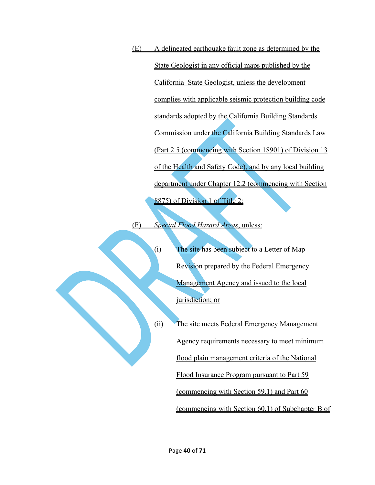(E) A delineated earthquake fault zone as determined by the State Geologist in any official maps published by the California State Geologist, unless the development complies with applicable seismic protection building code standards adopted by the California Building Standards Commission under the California Building Standards Law (Part 2.5 (commencing with Section 18901) of Division 13 of the Health and Safety Code), and by any local building department under Chapter 12.2 (commencing with Section 8875) of Division 1 of Title 2;

(F) *Special Flood Hazard Areas*, unless:

(i) The site has been subject to a Letter of Map Revision prepared by the Federal Emergency Management Agency and issued to the local jurisdiction; or

(ii) The site meets Federal Emergency Management

Agency requirements necessary to meet minimum

flood plain management criteria of the National

Flood Insurance Program pursuant to Part 59

(commencing with Section 59.1) and Part 60

(commencing with Section 60.1) of Subchapter B of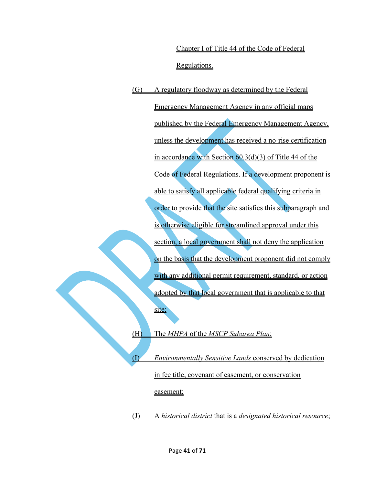Chapter I of Title 44 of the Code of Federal Regulations.

(G) A regulatory floodway as determined by the Federal Emergency Management Agency in any official maps published by the Federal Emergency Management Agency, unless the development has received a no-rise certification in accordance with Section 60.3(d)(3) of Title 44 of the Code of Federal Regulations. If a development proponent is able to satisfy all applicable federal qualifying criteria in order to provide that the site satisfies this subparagraph and is otherwise eligible for streamlined approval under this section, a local government shall not deny the application on the basis that the development proponent did not comply with any additional permit requirement, standard, or action adopted by that local government that is applicable to that site;

(H) The *MHPA* of the *MSCP Subarea Plan*;

(I) *Environmentally Sensitive Lands* conserved by dedication in fee title, covenant of easement, or conservation easement;

(J) A *historical district* that is a *designated historical resource*;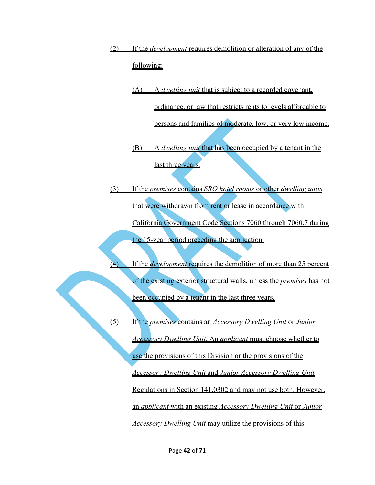- (2) If the *development* requires demolition or alteration of any of the following:
	- (A) A *dwelling unit* that is subject to a recorded covenant, ordinance, or law that restricts rents to levels affordable to persons and families of moderate, low, or very low income.
	- (B) A *dwelling unit* that has been occupied by a tenant in the last three years.
- (3) If the *premises* contains *SRO hotel rooms* or other *dwelling units*  that were withdrawn from rent or lease in accordance with California Government Code Sections 7060 through 7060.7 during the 15-year period preceding the application.
- (4) If the *development* requires the demolition of more than 25 percent of the existing exterior structural walls, unless the *premises* has not been occupied by a tenant in the last three years.
- (5) If the *premises* contains an *Accessory Dwelling Unit* or *Junior Accessory Dwelling Unit*. An *applicant* must choose whether to use the provisions of this Division or the provisions of the *Accessory Dwelling Unit* and *Junior Accessory Dwelling Unit*  Regulations in Section 141.0302 and may not use both. However, an *applicant* with an existing *Accessory Dwelling Unit* or *Junior Accessory Dwelling Unit* may utilize the provisions of this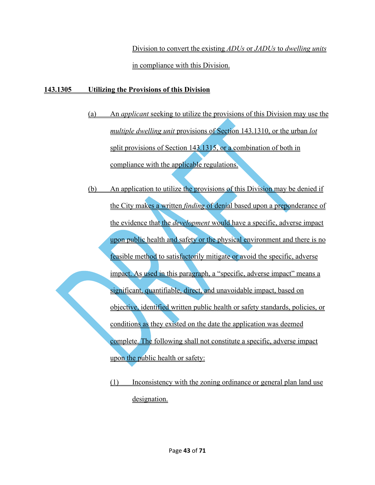Division to convert the existing *ADUs* or *JADUs* to *dwelling units* in compliance with this Division.

# **143.1305 Utilizing the Provisions of this Division**

- (a) An *applicant* seeking to utilize the provisions of this Division may use the *multiple dwelling unit* provisions of Section 143.1310, or the urban *lot* split provisions of Section 143.1315, or a combination of both in compliance with the applicable regulations.
- (b) An application to utilize the provisions of this Division may be denied if the City makes a written *finding* of denial based upon a preponderance of the evidence that the *development* would have a specific, adverse impact upon public health and safety or the physical environment and there is no feasible method to satisfactorily mitigate or avoid the specific, adverse impact. As used in this paragraph, a "specific, adverse impact" means a significant, quantifiable, direct, and unavoidable impact, based on objective, identified written public health or safety standards, policies, or conditions as they existed on the date the application was deemed complete. The following shall not constitute a specific, adverse impact upon the public health or safety:
	- (1) Inconsistency with the zoning ordinance or general plan land use designation.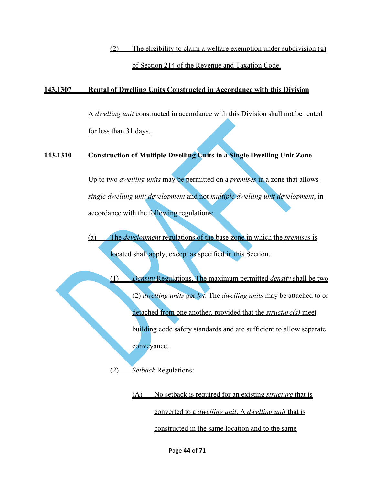(2) The eligibility to claim a welfare exemption under subdivision  $(g)$ of Section 214 of the Revenue and Taxation Code.

## **143.1307 Rental of Dwelling Units Constructed in Accordance with this Division**

A *dwelling unit* constructed in accordance with this Division shall not be rented for less than 31 days.

# **143.1310 Construction of Multiple Dwelling Units in a Single Dwelling Unit Zone**

Up to two *dwelling units* may be permitted on a *premises* in a zone that allows *single dwelling unit development* and not *multiple dwelling unit development*, in accordance with the following regulations:

(a) The *development* regulations of the base zone in which the *premises* is located shall apply, except as specified in this Section.

(1) *Density* Regulations. The maximum permitted *density* shall be two (2) *dwelling units* per *lot*. The *dwelling units* may be attached to or detached from one another, provided that the *structure(s)* meet building code safety standards and are sufficient to allow separate conveyance.

(2) *Setback* Regulations:

(A) No setback is required for an existing *structure* that is converted to a *dwelling unit*. A *dwelling unit* that is constructed in the same location and to the same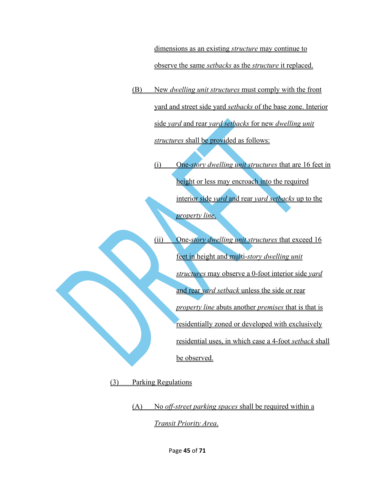dimensions as an existing *structure* may continue to observe the same *setbacks* as the *structure* it replaced.

(B) New *dwelling unit structures* must comply with the front yard and street side yard *setbacks* of the base zone. Interior side *yard* and rear *yard setbacks* for new *dwelling unit structures* shall be provided as follows:

> (i) One-*story dwelling unit structures* that are 16 feet in height or less may encroach into the required interior side *yard* and rear *yard setbacks* up to the *property line*.

> (ii) One-*story dwelling unit structures* that exceed 16 feet in height and multi-*story dwelling unit structures* may observe a 0-foot interior side *yard*  and rear *yard setback* unless the side or rear *property line* abuts another *premises* that is that is residentially zoned or developed with exclusively residential uses, in which case a 4-foot *setback* shall be observed.

(3) Parking Regulations

(A) No *off-street parking spaces* shall be required within a *Transit Priority Area*.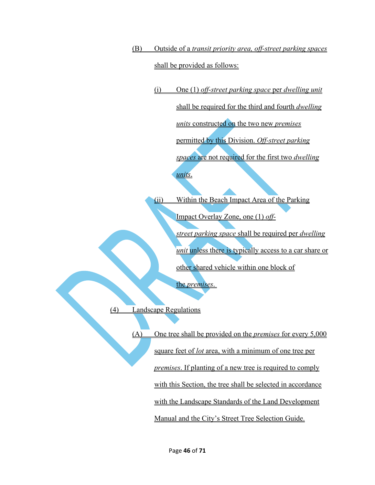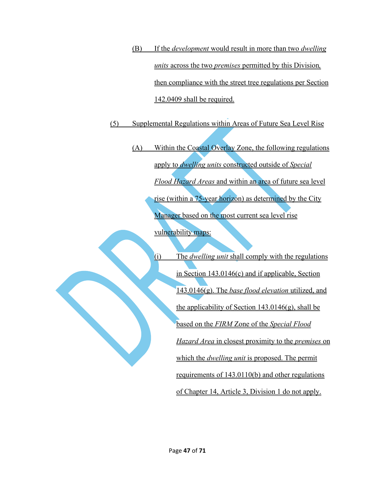(B) If the *development* would result in more than two *dwelling units* across the two *premises* permitted by this Division*,* then compliance with the street tree regulations per Section 142.0409 shall be required.

(5) Supplemental Regulations within Areas of Future Sea Level Rise

- (A) Within the Coastal Overlay Zone, the following regulations apply to *dwelling units* constructed outside of *Special Flood Hazard Areas* and within an area of future sea level rise (within a 75-year horizon) as determined by the City Manager based on the most current sea level rise vulnerability maps:
	- (i) The *dwelling unit* shall comply with the regulations in Section 143.0146(c) and if applicable, Section 143.0146(g). The *base flood elevation* utilized, and the applicability of Section  $143.0146(g)$ , shall be based on the *FIRM* Zone of the *Special Flood Hazard Area* in closest proximity to the *premises* on which the *dwelling unit* is proposed. The permit requirements of 143.0110(b) and other regulations of Chapter 14, Article 3, Division 1 do not apply.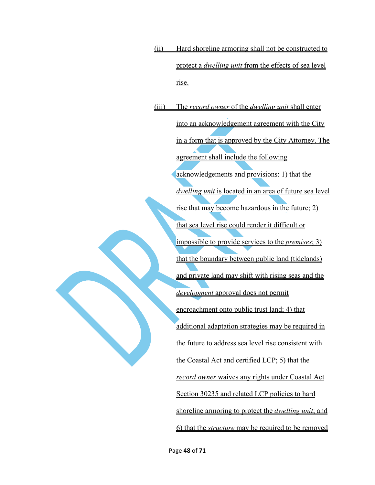(ii) Hard shoreline armoring shall not be constructed to protect a *dwelling unit* from the effects of sea level rise.

(iii) The *record owner* of the *dwelling unit* shall enter into an acknowledgement agreement with the City in a form that is approved by the City Attorney. The agreement shall include the following acknowledgements and provisions: 1) that the *dwelling unit* is located in an area of future sea level rise that may become hazardous in the future; 2) that sea level rise could render it difficult or impossible to provide services to the *premises*; 3) that the boundary between public land (tidelands) and private land may shift with rising seas and the *development* approval does not permit encroachment onto public trust land; 4) that additional adaptation strategies may be required in the future to address sea level rise consistent with the Coastal Act and certified LCP; 5) that the *record owner* waives any rights under Coastal Act Section 30235 and related LCP policies to hard shoreline armoring to protect the *dwelling unit*; and 6) that the *structure* may be required to be removed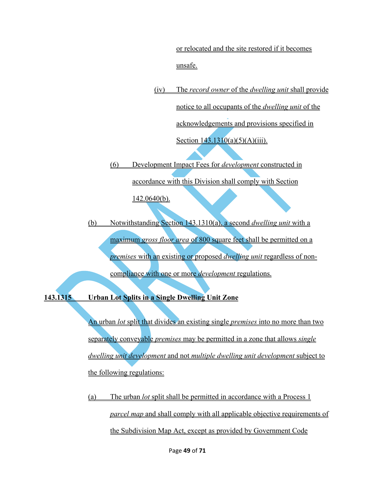or relocated and the site restored if it becomes unsafe.

(iv) The *record owner* of the *dwelling unit* shall provide notice to all occupants of the *dwelling unit* of the acknowledgements and provisions specified in Section  $143.1310(a)(5)(A)(iii)$ .

(6) Development Impact Fees for *development* constructed in

accordance with this Division shall comply with Section

142.0640(b).

(b) Notwithstanding Section 143.1310(a), a second *dwelling unit* with a maximum *gross floor area* of 800 square feet shall be permitted on a *premises* with an existing or proposed *dwelling unit* regardless of noncompliance with one or more *development* regulations.

**143.1315 Urban Lot Splits in a Single Dwelling Unit Zone**

An urban *lot* split that divides an existing single *premises* into no more than two separately conveyable *premises* may be permitted in a zone that allows *single dwelling unit development* and not *multiple dwelling unit development* subject to the following regulations:

(a) The urban *lot* split shall be permitted in accordance with a Process 1 *parcel map* and shall comply with all applicable objective requirements of the Subdivision Map Act, except as provided by Government Code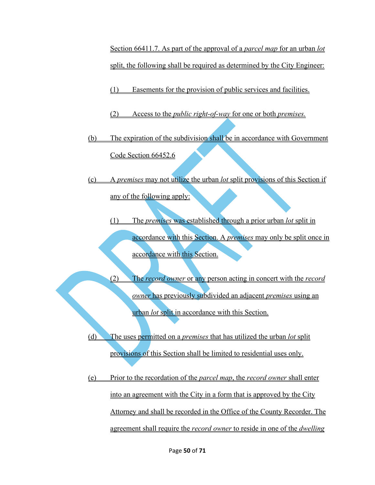Section 66411.7. As part of the approval of a *parcel map* for an urban *lot*  split, the following shall be required as determined by the City Engineer:

(1) Easements for the provision of public services and facilities.

- (2) Access to the *public right-of-way* for one or both *premises.*
- (b) The expiration of the subdivision shall be in accordance with Government Code Section 66452.6
- (c) A *premises* may not utilize the urban *lot* split provisions of this Section if any of the following apply:
	- (1) The *premises* was established through a prior urban *lot* split in accordance with this Section. A *premises* may only be split once in accordance with this Section.
- (2) The *record owner* or any person acting in concert with the *record owner* has previously subdivided an adjacent *premises* using an urban *lot* split in accordance with this Section.
	- (d) The uses permitted on a *premises* that has utilized the urban *lot* split provisions of this Section shall be limited to residential uses only.
	- (e) Prior to the recordation of the *parcel map*, the *record owner* shall enter into an agreement with the City in a form that is approved by the City Attorney and shall be recorded in the Office of the County Recorder. The agreement shall require the *record owner* to reside in one of the *dwelling*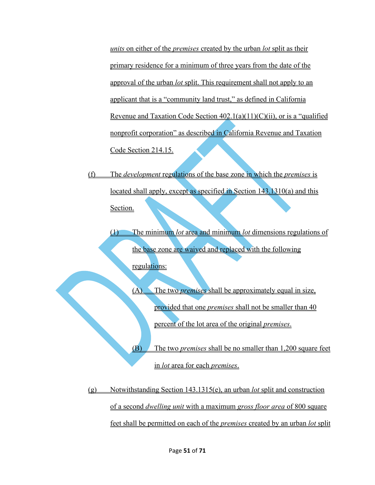*units* on either of the *premises* created by the urban *lot* split as their primary residence for a minimum of three years from the date of the approval of the urban *lot* split. This requirement shall not apply to an applicant that is a "community land trust," as defined in California Revenue and Taxation Code Section 402.1(a)(11)(C)(ii), or is a "qualified nonprofit corporation" as described in California Revenue and Taxation Code Section 214.15.

(f) The *development* regulations of the base zone in which the *premises* is located shall apply, except as specified in Section 143.1310(a) and this Section.

(1) The minimum *lot* area and minimum *lot* dimensions regulations of the base zone are waived and replaced with the following regulations:

> (A) The two *premises* shall be approximately equal in size, provided that one *premises* shall not be smaller than 40 percent of the lot area of the original *premises*.

(B) The two *premises* shall be no smaller than 1,200 square feet in *lot* area for each *premises*.

(g) Notwithstanding Section 143.1315(e), an urban *lot* split and construction of a second *dwelling unit* with a maximum *gross floor area* of 800 square feet shall be permitted on each of the *premises* created by an urban *lot* split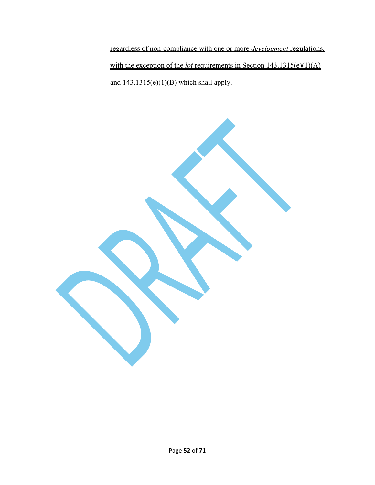regardless of non-compliance with one or more *development* regulations, with the exception of the *lot* requirements in Section 143.1315(e)(1)(A) and  $143.1315(e)(1)(B)$  which shall apply.

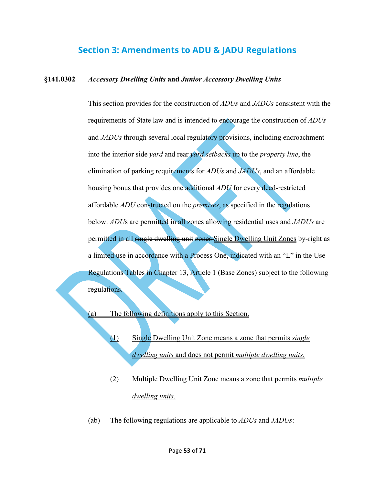# **Section 3: Amendments to ADU & JADU Regulations**

### <span id="page-52-0"></span>**§141.0302** *Accessory Dwelling Units* **and** *Junior Accessory Dwelling Units*

This section provides for the construction of *ADUs* and *JADUs* consistent with the requirements of State law and is intended to encourage the construction of *ADUs*  and *JADUs* through several local regulatory provisions, including encroachment into the interior side *yard* and rear *yard setbacks* up to the *property line*, the elimination of parking requirements for *ADUs* and *JADUs*, and an affordable housing bonus that provides one additional *ADU* for every deed-restricted affordable *ADU* constructed on the *premises*, as specified in the regulations below. *ADU*s are permitted in all zones allowing residential uses and *JADUs* are permitted in all single dwelling unit zones Single Dwelling Unit Zones by-right as a limited use in accordance with a Process One, indicated with an "L" in the Use Regulations Tables in Chapter 13, Article 1 (Base Zones) subject to the following regulations.

(a) The following definitions apply to this Section.

- (1) Single Dwelling Unit Zone means a zone that permits *single dwelling units* and does not permit *multiple dwelling units*.
- (2) Multiple Dwelling Unit Zone means a zone that permits *multiple dwelling units*.
- (ab) The following regulations are applicable to *ADUs* and *JADUs*: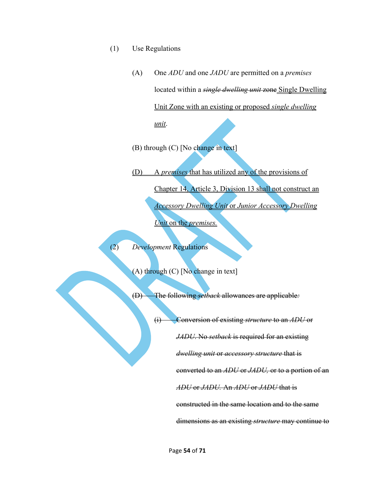- (1) Use Regulations
	- (A) One *ADU* and one *JADU* are permitted on a *premises*  located within a *single dwelling unit* zone Single Dwelling Unit Zone with an existing or proposed *single dwelling unit*.

(B) through (C) [No change in text]

(D) A *premises* that has utilized any of the provisions of Chapter 14, Article 3, Division 13 shall not construct an *Accessory Dwelling Unit* or *Junior Accessory Dwelling Unit* on the *premises.*

(2) *Development* Regulations

(A) through (C) [No change in text]

(D) The following *setback* allowances are applicable*:*

(i) Conversion of existing *structure* to an *ADU* or *JADU*. No *setback* is required for an existing *dwelling unit* or *accessory structure* that is converted to an *ADU* or *JADU,* or to a portion of an *ADU* or *JADU.* An *ADU* or *JADU* that is constructed in the same location and to the same dimensions as an existing *structure* may continue to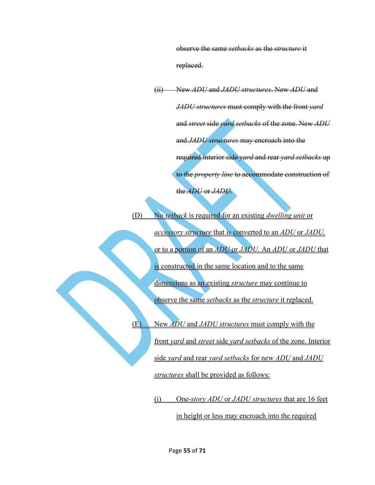observe the same *setbacks* as the *structure* it replaced.

(ii) New *ADU* and *JADU structures*. New *ADU* and *JADU structures* must comply with the front *yard* and *street* side *yard setbacks* of the zone. New *ADU* and *JADU structures* may encroach into the required interior side *yard* and rear *yard setbacks* up to the *property line* to accommodate construction of the *ADU* or *JADU*.

(D) No *setback* is required for an existing *dwelling unit* or *accessory structure* that is converted to an *ADU* or *JADU,* or to a portion of an *ADU* or *JADU.* An *ADU* or *JADU* that is constructed in the same location and to the same dimensions as an existing *structure* may continue to observe the same *setbacks* as the *structure* it replaced. (E) New *ADU* and *JADU structures* must comply with the front *yard* and *street* side *yard setbacks* of the zone. Interior side *yard* and rear *yard setbacks* for new *ADU* and *JADU structures* shall be provided as follows:

(i) One-*story ADU* or *JADU structures* that are 16 feet

in height or less may encroach into the required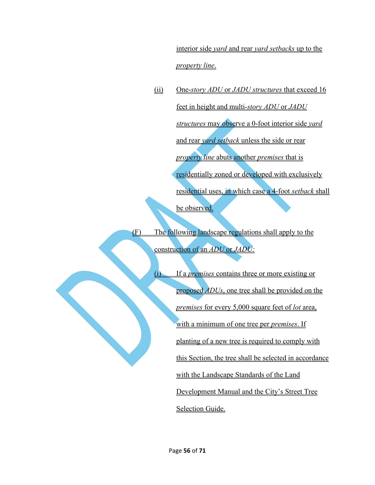interior side *yard* and rear *yard setbacks* up to the *property line*.

(ii) One-*story ADU* or *JADU structures* that exceed 16 feet in height and multi-*story ADU* or *JADU structures* may observe a 0-foot interior side *yard*  and rear *yard setback* unless the side or rear *property line* abuts another *premises* that is residentially zoned or developed with exclusively residential uses, in which case a 4-foot *setback* shall be observed.

(F) The following landscape regulations shall apply to the construction of an *ADU* or *JADU:*

> (i) If a *premises* contains three or more existing or proposed *ADUs*, one tree shall be provided on the *premises* for every 5,000 square feet of *lot* area, with a minimum of one tree per *premises*. If planting of a new tree is required to comply with this Section, the tree shall be selected in accordance with the Landscape Standards of the Land Development Manual and the City's Street Tree Selection Guide.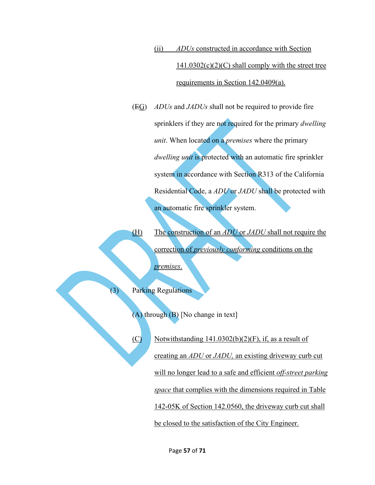(ii) *ADUs* constructed in accordance with Section  $141.0302(c)(2)(C)$  shall comply with the street tree requirements in Section 142.0409(a).

(EG) *ADUs* and *JADUs* shall not be required to provide fire sprinklers if they are not required for the primary *dwelling unit*. When located on a *premises* where the primary *dwelling unit* is protected with an automatic fire sprinkler system in accordance with Section R313 of the California Residential Code, a *ADU* or *JADU* shall be protected with an automatic fire sprinkler system.

(H) The construction of an *ADU* or *JADU* shall not require the correction of *previously conforming* conditions on the *premises*.

Parking Regulations

(A) through (B) [No change in text]

 $(C)$  Notwithstanding 141.0302(b)(2)(F), if, as a result of creating an *ADU* or *JADU,* an existing driveway curb cut will no longer lead to a safe and efficient *off-street parking space* that complies with the dimensions required in Table 142-05K of Section 142.0560, the driveway curb cut shall be closed to the satisfaction of the City Engineer.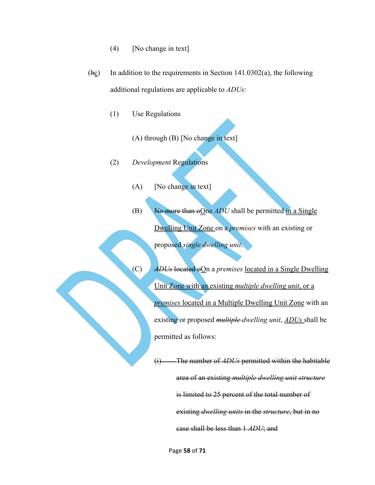- (4) [No change in text]
- $(\overline{bc})$  In addition to the requirements in Section 141.0302(a), the following additional regulations are applicable to *ADUs*:
	- (1) Use Regulations

(A) through (B) [No change in text]

- (2) *Development* Regulations
	- (A) [No change in text]
	- (B) No more than  $\Theta$  One *ADU* shall be permitted in a Single Dwelling Unit Zone on a *premises* with an existing or proposed *single dwelling unit*.
	- (C) *ADUs* located oOn a *premises* located in a Single Dwelling Unit Zone with an existing *multiple dwelling unit*, or a *premises* located in a Multiple Dwelling Unit Zone with an existing or proposed *multiple dwelling unit*, *ADUs* shall be permitted as follows:

(i) The number of *ADUs* permitted within the habitable area of an existing *multiple dwelling unit structure*  is limited to 25 percent of the total number of existing *dwelling units* in the *structure*, but in no case shall be less than 1 *ADU*; and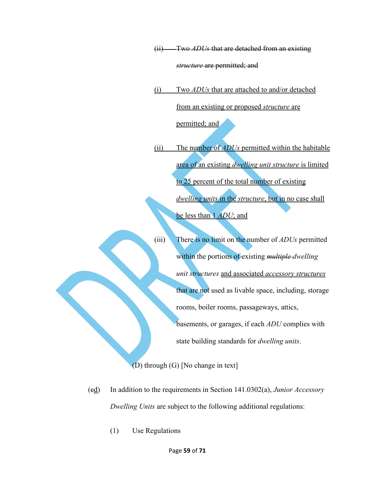(ii) Two *ADUs* that are detached from an existing *structure* are permitted; and

(i) Two *ADUs* that are attached to and/or detached from an existing or proposed *structure* are permitted; and

(ii) The number of *ADUs* permitted within the habitable area of an existing *dwelling unit structure* is limited to 25 percent of the total number of existing *dwelling units* in the *structure*, but in no case shall be less than 1 *ADU*; and

(iii) There is no limit on the number of *ADUs* permitted within the portions of existing *multiple dwelling unit structures* and associated *accessory structures*  that are not used as livable space, including, storage rooms, boiler rooms, passageways, attics, basements, or garages, if each *ADU* complies with state building standards for *dwelling units*.

(D) through (G) [No change in text]

- (cd) In addition to the requirements in Section 141.0302(a), *Junior Accessory Dwelling Units* are subject to the following additional regulations:
	- (1) Use Regulations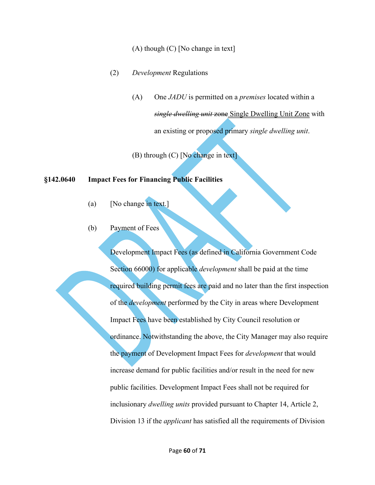### (A) though (C) [No change in text]

- (2) *Development* Regulations
	- (A) One *JADU* is permitted on a *premises* located within a *single dwelling unit* zone Single Dwelling Unit Zone with an existing or proposed primary *single dwelling unit*.

(B) through (C) [No change in text]

### **§142.0640 Impact Fees for Financing Public Facilities**

- (a) [No change in text.]
- (b) Payment of Fees

Development Impact Fees (as defined in California Government Code Section 66000) for applicable *development* shall be paid at the time required building permit fees are paid and no later than the first inspection of the *development* performed by the City in areas where Development Impact Fees have been established by City Council resolution or ordinance. Notwithstanding the above, the City Manager may also require the payment of Development Impact Fees for *development* that would increase demand for public facilities and/or result in the need for new public facilities. Development Impact Fees shall not be required for inclusionary *dwelling units* provided pursuant to Chapter 14, Article 2, Division 13 if the *applicant* has satisfied all the requirements of Division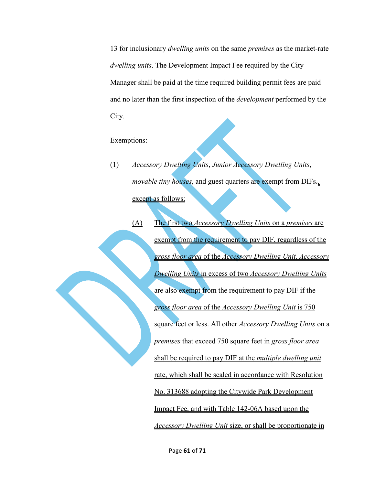13 for inclusionary *dwelling units* on the same *premises* as the market-rate *dwelling units*. The Development Impact Fee required by the City Manager shall be paid at the time required building permit fees are paid and no later than the first inspection of the *development* performed by the City.

Exemptions:

- (1) *Accessory Dwelling Units*, *Junior Accessory Dwelling Units*, *movable tiny houses*, and guest quarters are exempt from DIFs., except as follows:
	- (A) The first two *Accessory Dwelling Units* on a *premises* are exempt from the requirement to pay DIF, regardless of the *gross floor area* of the *Accessory Dwelling Unit*. *Accessory Dwelling Units* in excess of two *Accessory Dwelling Units* are also exempt from the requirement to pay DIF if the *gross floor area* of the *Accessory Dwelling Unit* is 750 square feet or less. All other *Accessory Dwelling Units* on a *premises* that exceed 750 square feet in *gross floor area*  shall be required to pay DIF at the *multiple dwelling unit*  rate, which shall be scaled in accordance with Resolution No. 313688 adopting the Citywide Park Development Impact Fee, and with Table 142-06A based upon the *Accessory Dwelling Unit* size, or shall be proportionate in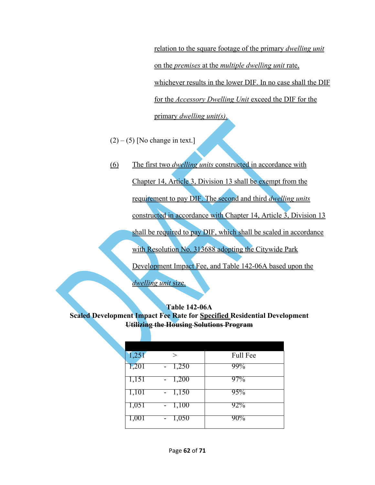relation to the square footage of the primary *dwelling unit*  on the *premises* at the *multiple dwelling unit* rate, whichever results in the lower DIF. In no case shall the DIF for the *Accessory Dwelling Unit* exceed the DIF for the primary *dwelling unit(s)*.

- $(2) (5)$  [No change in text.]
- (6) The first two *dwelling units* constructed in accordance with

Chapter 14, Article 3, Division 13 shall be exempt from the

requirement to pay DIF. The second and third *dwelling units* 

constructed in accordance with Chapter 14, Article 3, Division 13

shall be required to pay DIF, which shall be scaled in accordance

with Resolution No. 313688 adopting the Citywide Park

Development Impact Fee, and Table 142-06A based upon the

*dwelling unit* size.

## **Table 142-06A Scaled Development Impact Fee Rate for Specified Residential Development Utilizing the Housing Solutions Program**

| 1,251 | >     | <b>Full Fee</b> |
|-------|-------|-----------------|
| 1,201 | 1,250 | 99%             |
| 1,151 | 1,200 | 97%             |
| 1,101 | 1,150 | 95%             |
| 1,051 | 1,100 | 92%             |
| 1,001 | 1,050 | 90%             |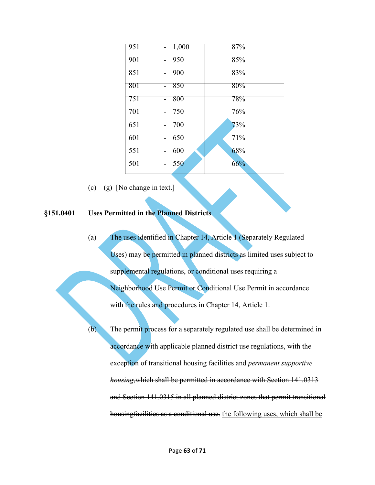| 951 | 1,000<br>$\overline{\phantom{a}}$ | 87%    |
|-----|-----------------------------------|--------|
| 901 | 950<br>$\overline{a}$             | 85%    |
| 851 | 900                               | 83%    |
| 801 | 850                               | $80\%$ |
| 751 | 800                               | 78%    |
| 701 | 750                               | 76%    |
| 651 | 700                               | 73%    |
| 601 | 650                               | 71%    |
| 551 | 600                               | 68%    |
| 501 | 550<br>$\overline{\phantom{a}}$   | 66%    |

 $(c) - (g)$  [No change in text.]

# **§151.0401 Uses Permitted in the Planned Districts**

(a) The uses identified in Chapter 14, Article 1 (Separately Regulated Uses) may be permitted in planned districts as limited uses subject to supplemental regulations, or conditional uses requiring a Neighborhood Use Permit or Conditional Use Permit in accordance with the rules and procedures in Chapter 14, Article 1.

(b) The permit process for a separately regulated use shall be determined in accordance with applicable planned district use regulations, with the exception of transitional housing facilities and *permanent supportive housing*,which shall be permitted in accordance with Section 141.0313 and Section 141.0315 in all planned district zones that permit transitional housingfacilities as a conditional use. the following uses, which shall be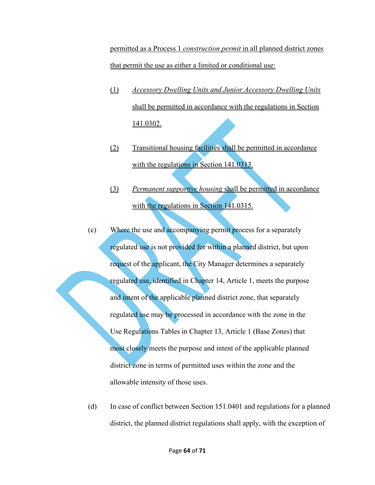permitted as a Process 1 *construction permit* in all planned district zones that permit the use as either a limited or conditional use:

- (1) *Accessory Dwelling Units and Junior Accessory Dwelling Units*  shall be permitted in accordance with the regulations in Section 141.0302.
- (2) Transitional housing facilities shall be permitted in accordance with the regulations in Section 141.0313.
- (3) *Permanent supportive housing* shall be permitted in accordance with the regulations in Section 141.0315.
- (c) Where the use and accompanying permit process for a separately regulated use is not provided for within a planned district, but upon request of the applicant, the City Manager determines a separately regulated use, identified in Chapter 14, Article 1, meets the purpose and intent of the applicable planned district zone, that separately regulated use may be processed in accordance with the zone in the Use Regulations Tables in Chapter 13, Article 1 (Base Zones) that most closely meets the purpose and intent of the applicable planned district zone in terms of permitted uses within the zone and the allowable intensity of those uses.
- (d) In case of conflict between Section 151.0401 and regulations for a planned district, the planned district regulations shall apply, with the exception of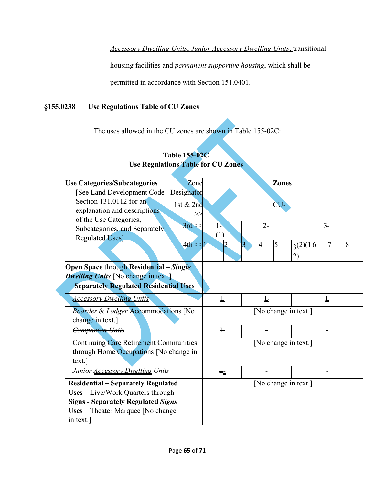*Accessory Dwelling Units*, *Junior Accessory Dwelling Units*, transitional

housing facilities and *permanent supportive housing*, which shall be

permitted in accordance with Section 151.0401.

# **§155.0238 Use Regulations Table of CU Zones**

The uses allowed in the CU zones are shown in Table 155-02C:

| <b>Use Categories/Subcategories</b>                     | Zone        |                             | <b>Zones</b>             |                |      |   |
|---------------------------------------------------------|-------------|-----------------------------|--------------------------|----------------|------|---|
| [See Land Development Code                              | Designator  |                             |                          |                |      |   |
| Section 131.0112 for an                                 | 1st & 2nd   |                             | CU-                      |                |      |   |
| explanation and descriptions                            | >>          |                             |                          |                |      |   |
| of the Use Categories,<br>Subcategories, and Separately | $3rd \gg$   | $1-$                        | $2 -$                    |                | $3-$ |   |
| <b>Regulated Uses]</b>                                  |             | (1)                         |                          |                |      |   |
|                                                         | $4th \ge 1$ | 2                           | 5<br>3<br>$\overline{4}$ | $3^{(2)}(1 6)$ | 7    | 8 |
|                                                         |             |                             |                          | 2)             |      |   |
| <b>Open Space through Residential – Single</b>          |             |                             |                          |                |      |   |
| <b>Dwelling Units</b> [No change in text.]              |             |                             |                          |                |      |   |
| <b>Separately Regulated Residential Uses</b>            |             |                             |                          |                |      |   |
| <b>Accessory Dwelling Units</b>                         |             | $\underline{\underline{L}}$ | Ţ                        | Ţ              |      |   |
| Boarder & Lodger Accommodations [No                     |             | [No change in text.]        |                          |                |      |   |
| change in text.]                                        |             |                             |                          |                |      |   |
| <b>Companion Units</b>                                  |             | F                           |                          |                |      |   |
| <b>Continuing Care Retirement Communities</b>           |             |                             | [No change in text.]     |                |      |   |
| through Home Occupations [No change in                  |             |                             |                          |                |      |   |
| text.                                                   |             |                             |                          |                |      |   |
| Junior <b>Accessory Dwelling Units</b>                  |             | F <sub>z</sub>              |                          |                |      |   |
| <b>Residential – Separately Regulated</b>               |             |                             | [No change in text.]     |                |      |   |
| Uses - Live/Work Quarters through                       |             |                             |                          |                |      |   |
| <b>Signs - Separately Regulated Signs</b>               |             |                             |                          |                |      |   |
| Uses - Theater Marquee [No change                       |             |                             |                          |                |      |   |
| in text.]                                               |             |                             |                          |                |      |   |

# **Table 155-02C Use Regulations Table for CU Zones**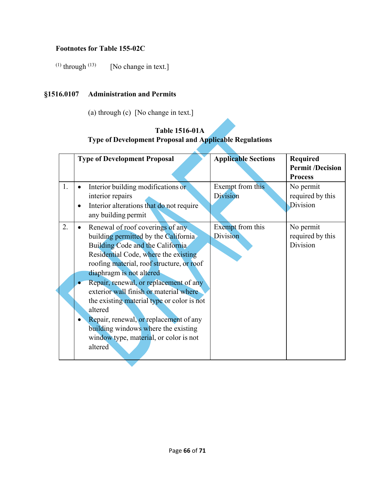# **Footnotes for Table 155-02C**

(1) through  $(13)$  [No change in text.]

# **§1516.0107 Administration and Permits**

(a) through (c) [No change in text.]

# **Table 1516-01A Type of Development Proposal and Applicable Regulations**

|    | <b>Type of Development Proposal</b>                                                                                                                                                                                                                                                                                                                                                                                                                                                                              | <b>Applicable Sections</b>   | <b>Required</b>                           |
|----|------------------------------------------------------------------------------------------------------------------------------------------------------------------------------------------------------------------------------------------------------------------------------------------------------------------------------------------------------------------------------------------------------------------------------------------------------------------------------------------------------------------|------------------------------|-------------------------------------------|
|    |                                                                                                                                                                                                                                                                                                                                                                                                                                                                                                                  |                              | <b>Permit /Decision</b><br><b>Process</b> |
| 1. | Interior building modifications or<br>$\bullet$<br>interior repairs<br>Interior alterations that do not require<br>$\bullet$<br>any building permit                                                                                                                                                                                                                                                                                                                                                              | Exempt from this<br>Division | No permit<br>required by this<br>Division |
| 2. | Renewal of roof coverings of any<br>building permitted by the California<br>Building Code and the California<br>Residential Code, where the existing<br>roofing material, roof structure, or roof<br>diaphragm is not altered<br>Repair, renewal, or replacement of any<br>exterior wall finish or material where<br>the existing material type or color is not<br>altered<br>Repair, renewal, or replacement of any<br>building windows where the existing<br>window type, material, or color is not<br>altered | Exempt from this<br>Division | No permit<br>required by this<br>Division |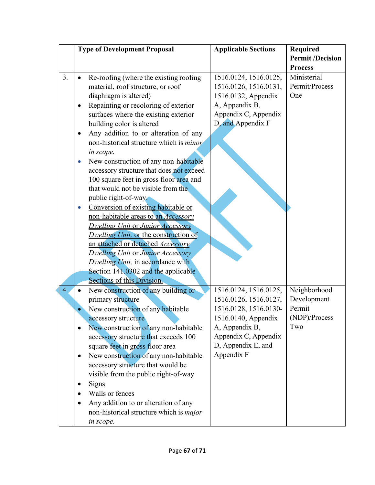|                                                             | <b>Type of Development Proposal</b>                                                                                                                                                                                                                                                                                                                                                                                                                                                                                                                                                                                                                                                                                                                                                                                                                                                                | <b>Applicable Sections</b>                                                                                                                                                   | <b>Required</b><br><b>Permit /Decision</b><br><b>Process</b>  |
|-------------------------------------------------------------|----------------------------------------------------------------------------------------------------------------------------------------------------------------------------------------------------------------------------------------------------------------------------------------------------------------------------------------------------------------------------------------------------------------------------------------------------------------------------------------------------------------------------------------------------------------------------------------------------------------------------------------------------------------------------------------------------------------------------------------------------------------------------------------------------------------------------------------------------------------------------------------------------|------------------------------------------------------------------------------------------------------------------------------------------------------------------------------|---------------------------------------------------------------|
| 3.<br>$\bullet$<br>٠<br>$\bullet$<br>$\bullet$<br>$\bullet$ | Re-roofing (where the existing roofing<br>material, roof structure, or roof<br>diaphragm is altered)<br>Repainting or recoloring of exterior<br>surfaces where the existing exterior<br>building color is altered<br>Any addition to or alteration of any<br>non-historical structure which is <i>minor</i><br>in scope.<br>New construction of any non-habitable<br>accessory structure that does not exceed<br>100 square feet in gross floor area and<br>that would not be visible from the<br>public right-of-way.<br>Conversion of existing habitable or<br>non-habitable areas to an <i>Accessory</i><br><b>Dwelling Unit or Junior Accessory</b><br>Dwelling Unit, or the construction of<br>an attached or detached Accessory<br><b>Dwelling Unit or Junior Accessory</b><br><b>Dwelling Unit, in accordance with</b><br>Section 141,0302 and the applicable<br>Sections of this Division. | 1516.0124, 1516.0125,<br>1516.0126, 1516.0131,<br>1516.0132, Appendix<br>A, Appendix B,<br>Appendix C, Appendix<br>D, and Appendix F                                         | Ministerial<br>Permit/Process<br>One                          |
| 4.<br>٠<br>٠                                                | New construction of any building or<br>primary structure<br>New construction of any habitable<br>accessory structure<br>New construction of any non-habitable<br>accessory structure that exceeds 100<br>square feet in gross floor area<br>New construction of any non-habitable<br>accessory structure that would be<br>visible from the public right-of-way<br>Signs<br>Walls or fences<br>Any addition to or alteration of any<br>non-historical structure which is <i>major</i><br>in scope.                                                                                                                                                                                                                                                                                                                                                                                                  | 1516.0124, 1516.0125,<br>1516.0126, 1516.0127,<br>1516.0128, 1516.0130-<br>1516.0140, Appendix<br>A, Appendix B,<br>Appendix C, Appendix<br>D, Appendix E, and<br>Appendix F | Neighborhood<br>Development<br>Permit<br>(NDP)/Process<br>Two |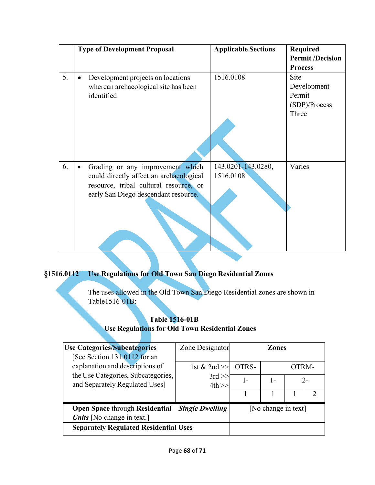|    | <b>Type of Development Proposal</b>            | <b>Applicable Sections</b> | <b>Required</b>         |
|----|------------------------------------------------|----------------------------|-------------------------|
|    |                                                |                            | <b>Permit /Decision</b> |
|    |                                                |                            | <b>Process</b>          |
| 5. | Development projects on locations<br>$\bullet$ | 1516.0108                  | Site                    |
|    | wherean archaeological site has been           |                            | Development             |
|    | identified                                     |                            | Permit                  |
|    |                                                |                            | (SDP)/Process           |
|    |                                                |                            | Three                   |
|    |                                                |                            |                         |
|    |                                                |                            |                         |
|    |                                                |                            |                         |
|    |                                                |                            |                         |
| 6. | Grading or any improvement which<br>$\bullet$  | 143.0201-143.0280,         | Varies                  |
|    | could directly affect an archaeological        | 1516.0108                  |                         |
|    | resource, tribal cultural resource, or         |                            |                         |
|    | early San Diego descendant resource.           |                            |                         |
|    |                                                |                            |                         |
|    |                                                |                            |                         |
|    |                                                |                            |                         |
|    |                                                |                            |                         |
|    |                                                |                            |                         |

# **§1516.0112 Use Regulations for Old Town San Diego Residential Zones**

The uses allowed in the Old Town San Diego Residential zones are shown in Table1516-01B:

# **Table 1516-01B**

**Use Regulations for Old Town Residential Zones**

| <b>Use Categories/Subcategories</b><br>[See Section 131.0112 for an                             | Zone Designator | Zones |                     |       |       |
|-------------------------------------------------------------------------------------------------|-----------------|-------|---------------------|-------|-------|
| explanation and descriptions of                                                                 | 1st $& 2nd \gg$ | OTRS- |                     | OTRM- |       |
| the Use Categories, Subcategories,<br>$3rd \gg$<br>$4th \geq$<br>and Separately Regulated Uses] |                 |       | 1-                  |       | $2 -$ |
|                                                                                                 |                 |       |                     |       |       |
| <b>Open Space through Residential – Single Dwelling</b><br>Units [No change in text.]           |                 |       | [No change in text] |       |       |
| <b>Separately Regulated Residential Uses</b>                                                    |                 |       |                     |       |       |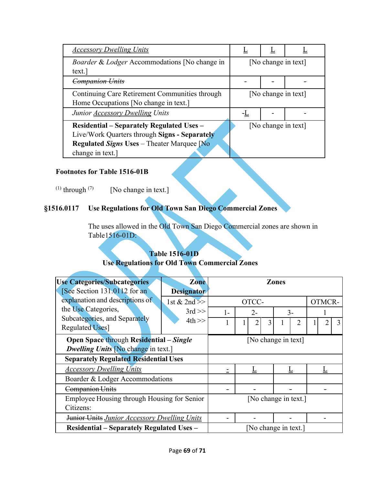| <b>Accessory Dwelling Units</b>                          |                     |                     |  |
|----------------------------------------------------------|---------------------|---------------------|--|
| <i>Boarder &amp; Lodger Accommodations</i> [No change in |                     | [No change in text] |  |
| text.]                                                   |                     |                     |  |
| <del>Companion Units</del>                               |                     |                     |  |
| Continuing Care Retirement Communities through           | [No change in text] |                     |  |
| Home Occupations [No change in text.]                    |                     |                     |  |
| Junior <b>Accessory Dwelling Units</b>                   |                     |                     |  |
| <b>Residential – Separately Regulated Uses –</b>         |                     | [No change in text] |  |
| Live/Work Quarters through Signs - Separately            |                     |                     |  |
| <b>Regulated Signs Uses</b> – Theater Marquee Mo         |                     |                     |  |
| change in text.]                                         |                     |                     |  |

# **Footnotes for Table 1516-01B**

(1) through  $(7)$  [No change in text.]

# **§1516.0117 Use Regulations for Old Town San Diego Commercial Zones**

The uses allowed in the Old Town San Diego Commercial zones are shown in Table1516-01D:

# **Table 1516-01D Use Regulations for Old Town Commercial Zones**

| <b>Use Categories/Subcategories</b>                 | Zone              |                     |       | Zones                |        |   |
|-----------------------------------------------------|-------------------|---------------------|-------|----------------------|--------|---|
| [See Section 131.0112 for an                        | <b>Designator</b> |                     |       |                      |        |   |
| explanation and descriptions of                     | 1st & $2nd$       |                     | OTCC- |                      | OTMCR- |   |
| the Use Categories,                                 | $3rd \gg$         | $1-$                | $2 -$ | $3 -$                |        |   |
| Subcategories, and Separately                       | $4th \gg$         |                     | 3     | 2                    |        | 3 |
| <b>Regulated Uses]</b>                              |                   |                     |       |                      |        |   |
| <b>Open Space through Residential – Single</b>      |                   | [No change in text] |       |                      |        |   |
| <b>Dwelling Units No change in text.</b> ]          |                   |                     |       |                      |        |   |
| <b>Separately Regulated Residential Uses</b>        |                   |                     |       |                      |        |   |
| <b>Accessory Dwelling Units</b>                     |                   |                     |       |                      |        |   |
| Boarder & Lodger Accommodations                     |                   |                     |       |                      |        |   |
| <b>Companion Units</b>                              |                   |                     |       |                      |        |   |
| Employee Housing through Housing for Senior         |                   |                     |       | [No change in text.] |        |   |
| Citizens:                                           |                   |                     |       |                      |        |   |
| <b>Junior Units Junior Accessory Dwelling Units</b> |                   |                     |       |                      |        |   |
| <b>Residential - Separately Regulated Uses -</b>    |                   |                     |       | [No change in text.] |        |   |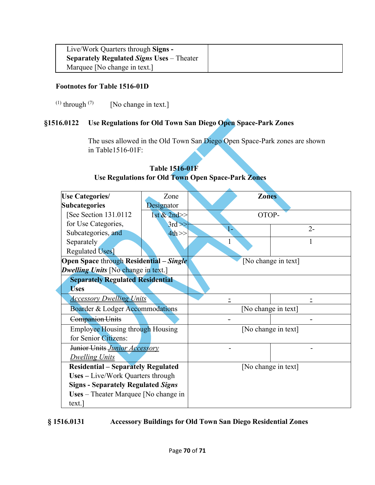| Live/Work Quarters through Signs -               |  |
|--------------------------------------------------|--|
| <b>Separately Regulated Signs Uses – Theater</b> |  |
| Marquee [No change in text.]                     |  |

## **Footnotes for Table 1516-01D**

(1) through  $(7)$  [No change in text.]

# **§1516.0122 Use Regulations for Old Town San Diego Open Space-Park Zones**

The uses allowed in the Old Town San Diego Open Space-Park zones are shown in Table1516-01F:

| <b>Use Categories/</b><br>Zone             |             | <b>Zones</b>        |                     |  |
|--------------------------------------------|-------------|---------------------|---------------------|--|
| <b>Subcategories</b>                       | Designator  |                     |                     |  |
| [See Section 131.0112]                     | 1st & 2nd>> | OTOP-               |                     |  |
| for Use Categories,                        | $3rd \gg$   | 1-                  | $2 -$               |  |
| Subcategories, and                         | $4th \gg$   |                     |                     |  |
| Separately                                 |             | 1                   | 1                   |  |
| <b>Regulated Uses</b>                      |             |                     |                     |  |
| Open Space through Residential - Single    |             |                     | [No change in text] |  |
| <b>Dwelling Units</b> [No change in text.] |             |                     |                     |  |
| <b>Separately Regulated Residential</b>    |             |                     |                     |  |
| <b>Uses</b>                                |             |                     |                     |  |
| <b>Accessory Dwelling Units</b>            |             | $=$                 | Ξ                   |  |
| Boarder & Lodger Accommodations            |             | [No change in text] |                     |  |
| <b>Companion Units</b>                     |             |                     |                     |  |
| <b>Employee Housing through Housing</b>    |             | [No change in text] |                     |  |
| for Senior Citizens:                       |             |                     |                     |  |
| Junior Units Junior Accessory              |             |                     |                     |  |
| <b>Dwelling Units</b>                      |             |                     |                     |  |
| <b>Residential – Separately Regulated</b>  |             |                     | [No change in text] |  |
| Uses - Live/Work Quarters through          |             |                     |                     |  |
| <b>Signs - Separately Regulated Signs</b>  |             |                     |                     |  |
| Uses – Theater Marquee [No change in       |             |                     |                     |  |
| text.                                      |             |                     |                     |  |

# **Table 1516-01F Use Regulations for Old Town Open Space-Park Zones**

**§ 1516.0131 Accessory Buildings for Old Town San Diego Residential Zones**